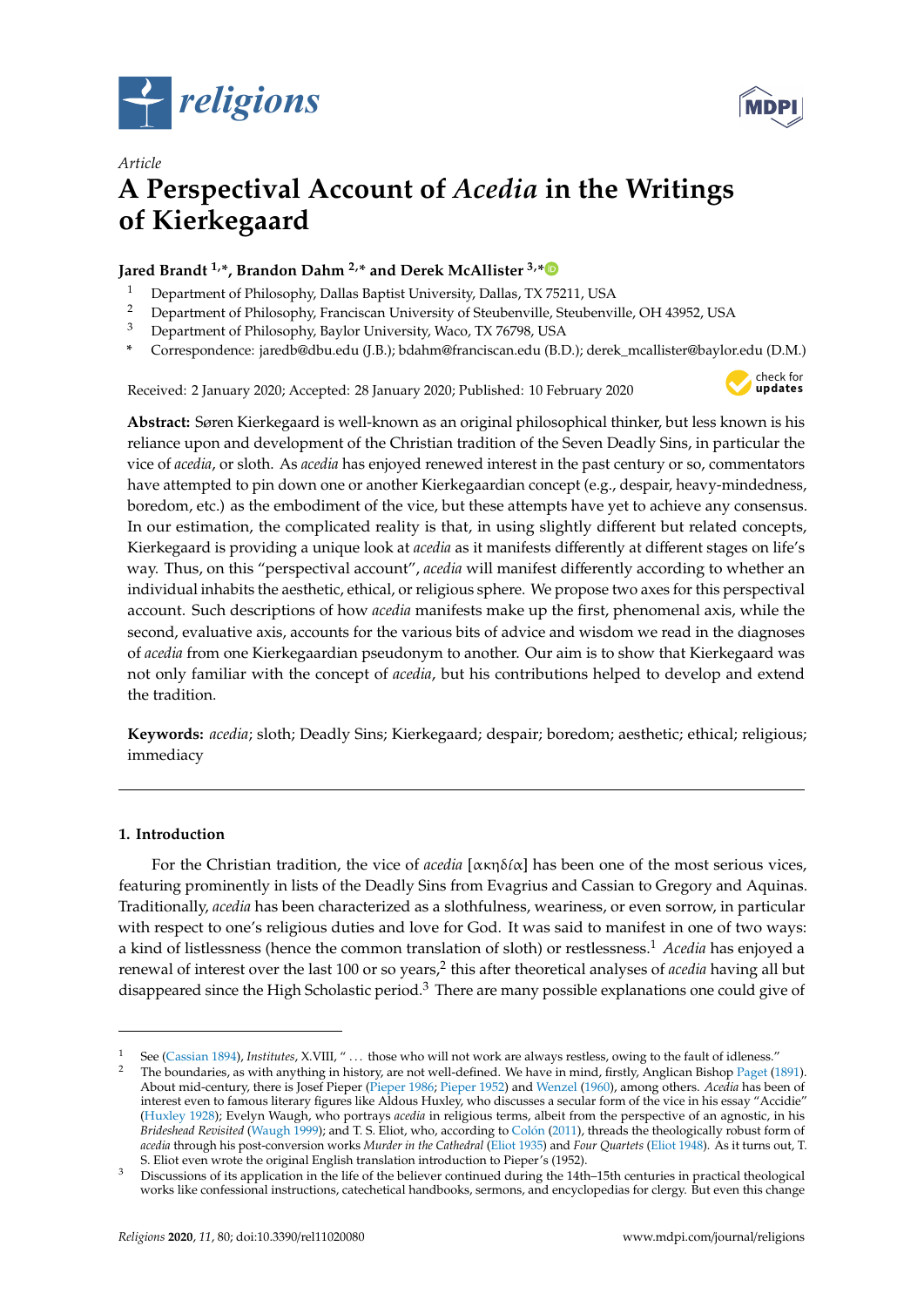



# *Article* **A Perspectival Account of** *Acedia* **in the Writings of Kierkegaard**

## **Jared Brandt 1,\*, Brandon Dahm 2,\* and Derek McAllister 3,[\\*](https://orcid.org/0000-0002-5540-7911)**

- <sup>1</sup> Department of Philosophy, Dallas Baptist University, Dallas, TX 75211, USA
- <sup>2</sup> Department of Philosophy, Franciscan University of Steubenville, Steubenville, OH 43952, USA<br><sup>3</sup> Department of Philosophy, Baylor University, Waco, TX 76798, USA
- <sup>3</sup> Department of Philosophy, Baylor University, Waco, TX 76798, USA
- **\*** Correspondence: jaredb@dbu.edu (J.B.); bdahm@franciscan.edu (B.D.); derek\_mcallister@baylor.edu (D.M.)

Received: 2 January 2020; Accepted: 28 January 2020; Published: 10 February 2020



**Abstract:** Søren Kierkegaard is well-known as an original philosophical thinker, but less known is his reliance upon and development of the Christian tradition of the Seven Deadly Sins, in particular the vice of *acedia*, or sloth. As *acedia* has enjoyed renewed interest in the past century or so, commentators have attempted to pin down one or another Kierkegaardian concept (e.g., despair, heavy-mindedness, boredom, etc.) as the embodiment of the vice, but these attempts have yet to achieve any consensus. In our estimation, the complicated reality is that, in using slightly different but related concepts, Kierkegaard is providing a unique look at *acedia* as it manifests differently at different stages on life's way. Thus, on this "perspectival account", *acedia* will manifest differently according to whether an individual inhabits the aesthetic, ethical, or religious sphere. We propose two axes for this perspectival account. Such descriptions of how *acedia* manifests make up the first, phenomenal axis, while the second, evaluative axis, accounts for the various bits of advice and wisdom we read in the diagnoses of *acedia* from one Kierkegaardian pseudonym to another. Our aim is to show that Kierkegaard was not only familiar with the concept of *acedia*, but his contributions helped to develop and extend the tradition.

**Keywords:** *acedia*; sloth; Deadly Sins; Kierkegaard; despair; boredom; aesthetic; ethical; religious; immediacy

## <span id="page-0-0"></span>**1. Introduction**

For the Christian tradition, the vice of *acedia* [ακηδι´α] has been one of the most serious vices, featuring prominently in lists of the Deadly Sins from Evagrius and Cassian to Gregory and Aquinas. Traditionally, *acedia* has been characterized as a slothfulness, weariness, or even sorrow, in particular with respect to one's religious duties and love for God. It was said to manifest in one of two ways: a kind of listlessness (hence the common translation of sloth) or restlessness.<sup>1</sup> *Acedia* has enjoyed a renewal of interest over the last 100 or so years,<sup>2</sup> this after theoretical analyses of *acedia* having all but disappeared since the High Scholastic period.<sup>3</sup> There are many possible explanations one could give of

<sup>&</sup>lt;sup>1</sup> See [\(Cassian](#page-20-0) [1894\)](#page-20-0), *Institutes*, X.VIII, "... those who will not work are always restless, owing to the fault of idleness."

<sup>2</sup> The boundaries, as with anything in history, are not well-defined. We have in mind, firstly, Anglican Bishop [Paget](#page-21-0) [\(1891\)](#page-21-0). About mid-century, there is Josef Pieper [\(Pieper](#page-21-1) [1986;](#page-21-1) [Pieper](#page-21-2) [1952\)](#page-21-2) and [Wenzel](#page-21-3) [\(1960\)](#page-21-3), among others. *Acedia* has been of interest even to famous literary figures like Aldous Huxley, who discusses a secular form of the vice in his essay "Accidie" [\(Huxley](#page-20-1) [1928\)](#page-20-1); Evelyn Waugh, who portrays *acedia* in religious terms, albeit from the perspective of an agnostic, in his *Brideshead Revisited* [\(Waugh](#page-21-4) [1999\)](#page-21-4); and T. S. Eliot, who, according to [Col](#page-20-2)ón [\(2011\)](#page-20-2), threads the theologically robust form of *acedia* through his post-conversion works *Murder in the Cathedral* [\(Eliot](#page-20-3) [1935\)](#page-20-3) and *Four Quartets* [\(Eliot](#page-20-4) [1948\)](#page-20-4). As it turns out, T. S. Eliot even wrote the original English translation introduction to Pieper's (1952).

<sup>3</sup> Discussions of its application in the life of the believer continued during the 14th–15th centuries in practical theological works like confessional instructions, catechetical handbooks, sermons, and encyclopedias for clergy. But even this change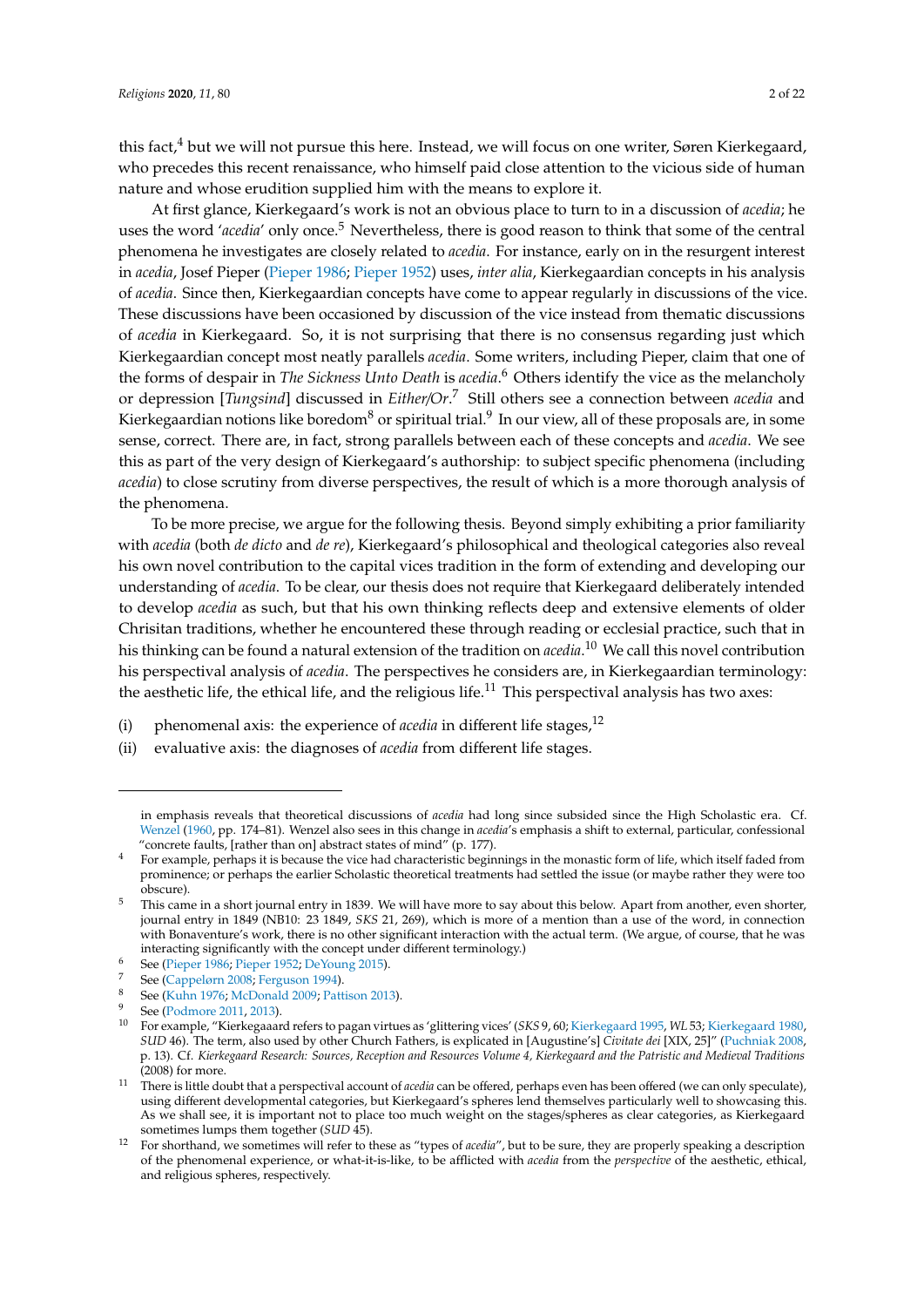this fact, $4$  but we will not pursue this here. Instead, we will focus on one writer, Søren Kierkegaard, who precedes this recent renaissance, who himself paid close attention to the vicious side of human nature and whose erudition supplied him with the means to explore it.

At first glance, Kierkegaard's work is not an obvious place to turn to in a discussion of *acedia*; he uses the word '*acedia*' only once.<sup>5</sup> Nevertheless, there is good reason to think that some of the central phenomena he investigates are closely related to *acedia*. For instance, early on in the resurgent interest in *acedia*, Josef Pieper [\(Pieper](#page-21-1) [1986;](#page-21-1) [Pieper](#page-21-2) [1952\)](#page-21-2) uses, *inter alia*, Kierkegaardian concepts in his analysis of *acedia*. Since then, Kierkegaardian concepts have come to appear regularly in discussions of the vice. These discussions have been occasioned by discussion of the vice instead from thematic discussions of *acedia* in Kierkegaard. So, it is not surprising that there is no consensus regarding just which Kierkegaardian concept most neatly parallels *acedia*. Some writers, including Pieper, claim that one of the forms of despair in *The Sickness Unto Death* is *acedia*. <sup>6</sup> Others identify the vice as the melancholy or depression [*Tungsind*] discussed in *Either*/*Or*. <sup>7</sup> Still others see a connection between *acedia* and Kierkegaardian notions like boredom $^8$  or spiritual trial. $^9$  In our view, all of these proposals are, in some sense, correct. There are, in fact, strong parallels between each of these concepts and *acedia*. We see this as part of the very design of Kierkegaard's authorship: to subject specific phenomena (including *acedia*) to close scrutiny from diverse perspectives, the result of which is a more thorough analysis of the phenomena.

To be more precise, we argue for the following thesis. Beyond simply exhibiting a prior familiarity with *acedia* (both *de dicto* and *de re*), Kierkegaard's philosophical and theological categories also reveal his own novel contribution to the capital vices tradition in the form of extending and developing our understanding of *acedia*. To be clear, our thesis does not require that Kierkegaard deliberately intended to develop *acedia* as such, but that his own thinking reflects deep and extensive elements of older Chrisitan traditions, whether he encountered these through reading or ecclesial practice, such that in his thinking can be found a natural extension of the tradition on *acedia*. <sup>10</sup> We call this novel contribution his perspectival analysis of *acedia*. The perspectives he considers are, in Kierkegaardian terminology: the aesthetic life, the ethical life, and the religious life.<sup>11</sup> This perspectival analysis has two axes:

(i) phenomenal axis: the experience of *acedia* in different life stages,<sup>12</sup>

<sup>(</sup>ii) evaluative axis: the diagnoses of *acedia* from different life stages.

in emphasis reveals that theoretical discussions of *acedia* had long since subsided since the High Scholastic era. Cf. [Wenzel](#page-21-3) [\(1960,](#page-21-3) pp. 174–81). Wenzel also sees in this change in *acedia*'s emphasis a shift to external, particular, confessional "concrete faults, [rather than on] abstract states of mind" (p. 177).

<sup>4</sup> For example, perhaps it is because the vice had characteristic beginnings in the monastic form of life, which itself faded from prominence; or perhaps the earlier Scholastic theoretical treatments had settled the issue (or maybe rather they were too obscure).

<sup>&</sup>lt;sup>5</sup> This came in a short journal entry in 1839. We will have more to say about this below. Apart from another, even shorter, journal entry in 1849 (NB10: 23 1849, *SKS* 21, 269), which is more of a mention than a use of the word, in connection with Bonaventure's work, there is no other significant interaction with the actual term. (We argue, of course, that he was interacting significantly with the concept under different terminology.)

<sup>6</sup> See [\(Pieper](#page-21-1) [1986;](#page-21-1) [Pieper](#page-21-2) [1952;](#page-21-2) [DeYoung](#page-20-5) [2015\)](#page-20-5).

See [\(Cappelørn](#page-20-6) [2008;](#page-20-6) [Ferguson](#page-20-7) [1994\)](#page-20-7).

<sup>8</sup> See [\(Kuhn](#page-21-5) [1976;](#page-21-5) [McDonald](#page-21-6) [2009;](#page-21-6) [Pattison](#page-21-7) [2013\)](#page-21-7).

See [\(Podmore](#page-21-8) [2011,](#page-21-8) [2013\)](#page-21-9).

<sup>10</sup> For example, "Kierkegaaard refers to pagan virtues as 'glittering vices' (*SKS* 9, 60; [Kierkegaard](#page-20-8) [1995,](#page-20-8) *WL* 53; [Kierkegaard](#page-20-9) [1980,](#page-20-9) *SUD* 46). The term, also used by other Church Fathers, is explicated in [Augustine's] *Civitate dei* [XIX, 25]" [\(Puchniak](#page-21-10) [2008,](#page-21-10) p. 13). Cf. *Kierkegaard Research: Sources, Reception and Resources Volume 4, Kierkegaard and the Patristic and Medieval Traditions* (2008) for more.

<sup>11</sup> There is little doubt that a perspectival account of *acedia* can be offered, perhaps even has been offered (we can only speculate), using different developmental categories, but Kierkegaard's spheres lend themselves particularly well to showcasing this. As we shall see, it is important not to place too much weight on the stages/spheres as clear categories, as Kierkegaard sometimes lumps them together (*SUD* 45).

<sup>12</sup> For shorthand, we sometimes will refer to these as "types of *acedia*", but to be sure, they are properly speaking a description of the phenomenal experience, or what-it-is-like, to be afflicted with *acedia* from the *perspective* of the aesthetic, ethical, and religious spheres, respectively.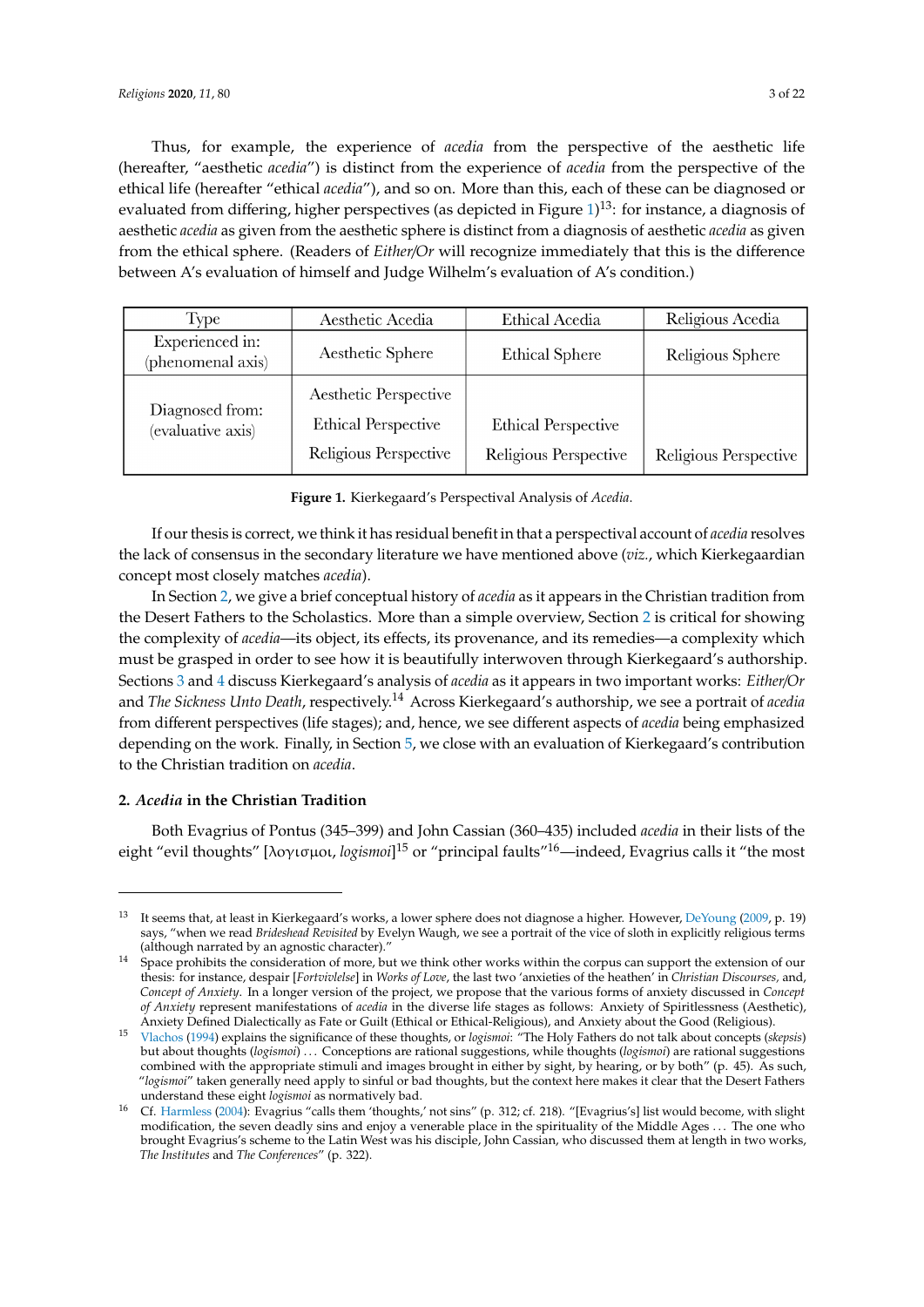Thus, for example, the experience of *acedia* from the perspective of the aesthetic life (hereafter, "aesthetic *acedia"*) is distinct from the experience of *acedia* from the perspective of the ethical life (hereafter "ethical *acedia*"), and so on. More than this, each of these can be diagnosed or evaluated from differing, higher perspectives (as depicted in Figure  $1$ )<sup>13</sup>: for instance, a diagnosis of aesthetic *acedia* as given from the aesthetic sphere is distinct from a diagnosis of aesthetic *acedia* as given from the ethical sphere. (Readers of *Either/Or* will recognize immediately that this is the difference between A's evaluation of himself and Judge Wilhelm's evaluation of A's condition.) A's evaluation of himself and Judge Wilhelm's evaluation of A's condition.)

<span id="page-2-0"></span>

| Type                                 | Aesthetic Acedia                                                             | Ethical Acedia                                      | Religious Acedia      |
|--------------------------------------|------------------------------------------------------------------------------|-----------------------------------------------------|-----------------------|
| Experienced in:<br>(phenomenal axis) | Aesthetic Sphere                                                             | <b>Ethical Sphere</b>                               | Religious Sphere      |
| Diagnosed from:<br>(evaluative axis) | Aesthetic Perspective<br><b>Ethical Perspective</b><br>Religious Perspective | <b>Ethical Perspective</b><br>Religious Perspective | Religious Perspective |

**Figure 1.** Kierkegaard's Perspectival Analysis of *Acedia.*  **Figure 1.** Kierkegaard's Perspectival Analysis of *Acedia*.

If our thesis is correct, we think it has residual benefit in that a perspectival account of *acedia* If our thesis is correct, we think it has residual benefit in that a perspectival account of *acedia* resolves the lack of consensus in the secondary literature we have mentioned above (*viz.,* which Kierkegaardian concept most closely matches *acedia*).

In Sectio[n 2](#page-2-1), we give a brief conceptual history of *acedia* as it appears in the Christian tradition In Section 2, we give a brief conceptual history of *acedia* as it appears in the Christian tradition from the Desert Fathers to the Scholastics. More than a simple overview[, S](#page-2-1)ection 2 is critical for showing the complexity of *acedia*—its object, its effects, its provenance, and its remedies—a complexity which must be grasped in order to see how it is beautifully interwoven through Kierkegaard's authorship. Sections 3 and 4 discuss Kierke[gaa](#page-6-0)rd'[s a](#page-13-0)nalysis of *acedia* as it appears in two important works: *Either/Or* and *The Sickness Unto Death,* respectively.<sup>14</sup> Across Kierkegaard's authorship, we see a portrait of *acedia* from different perspectives (life stages); and, hence, we see different aspects of *acedia* being emphasized depending on the work. Finally, in Section 5, we close with an evaluation of Kierkegaard's contribution to the Christian tradition on *acedia*.

#### <span id="page-2-1"></span>**2.** *Acedia* **in the Christian Tradition**

Both Evagrius of Pontus (345–399) and John Cassian (360–435) included *acedia* in their lists of the eight "evil thoughts" [λογισμοι*, logismoi*]<sup>15</sup> or "principal faults"<sup>16</sup>—indeed, Evagrius calls it "the most

stages/spheres as clear categories, as Kierkegaard sometimes lumps them together (*SUD* 45).

<sup>&</sup>lt;sup>13</sup> It seems that, at least in Kierkegaard's works, a lower sphere does not diagnose a higher. However, [DeYoung](#page-20-10) [\(2009,](#page-20-10) p. 19) says, "when we read Brideshead Revisited by Evelyn Waugh, we see a portrait of the vice of sloth in explicitly religious terms (although narrated by an agnostic character)."

<sup>&</sup>lt;sup>14</sup> Space prohibits the consideration of more, but we think other works within the corpus can support the extension of our Concept of Anxiety. In a longer version of the project, we propose that the various forms of anxiety discussed in Concept of Anxiety represent manifestations of *acedia* in the diverse life stages as follows: Anxiety of Spiritlessness (Aesthetic), Anxiety Defined Dialectically as Fate or Guilt (Ethical or Ethical-Religious), and Anxiety about the Good (Religious). thesis: for instance, despair [*Fortvivlelse*] in *Works of Love*, the last two 'anxieties of the heathen' in *Christian Discourses,* and,

<sup>&</sup>lt;sup>15</sup> [Vlachos](#page-21-11) [\(1994\)](#page-21-11) explains the significance of these thoughts, or *logismoi:* "The Holy Fathers do not talk about concepts (*skepsis*) combined with the appropriate stimuli and images brought in either by sight, by hearing, or by both" (p. 45). As such, "logismoi" taken generally need apply to sinful or bad thoughts, but the context here makes it clear that the Desert Fathers but about thoughts (*logismoi*) . . . Conceptions are rational suggestions, while thoughts (*logismoi*) are rational suggestions understand these eight *logismoi* as normatively bad.

understand these eight *logismot* as normatively bad.<br><sup>16</sup> Cf. [Harmless](#page-20-11) [\(2004\)](#page-20-11): Evagrius "calls them 'thoughts,' not sins" (p. 312; cf. 218). "[Evagrius's] list would become, with slight Let Trainiess (2004). Evagints cans them thoughts, not sins (p. 912, cf. 216). [Evagints s] is would become, while signification, the seven deadly sins and enjoy a venerable place in the spirituality of the Middle Ages . . brought Evagrius's scheme to the Latin West was his disciple, John Cassian, who discussed them at length in two works, *The Institutes* and *The Conferences*" (p. 322).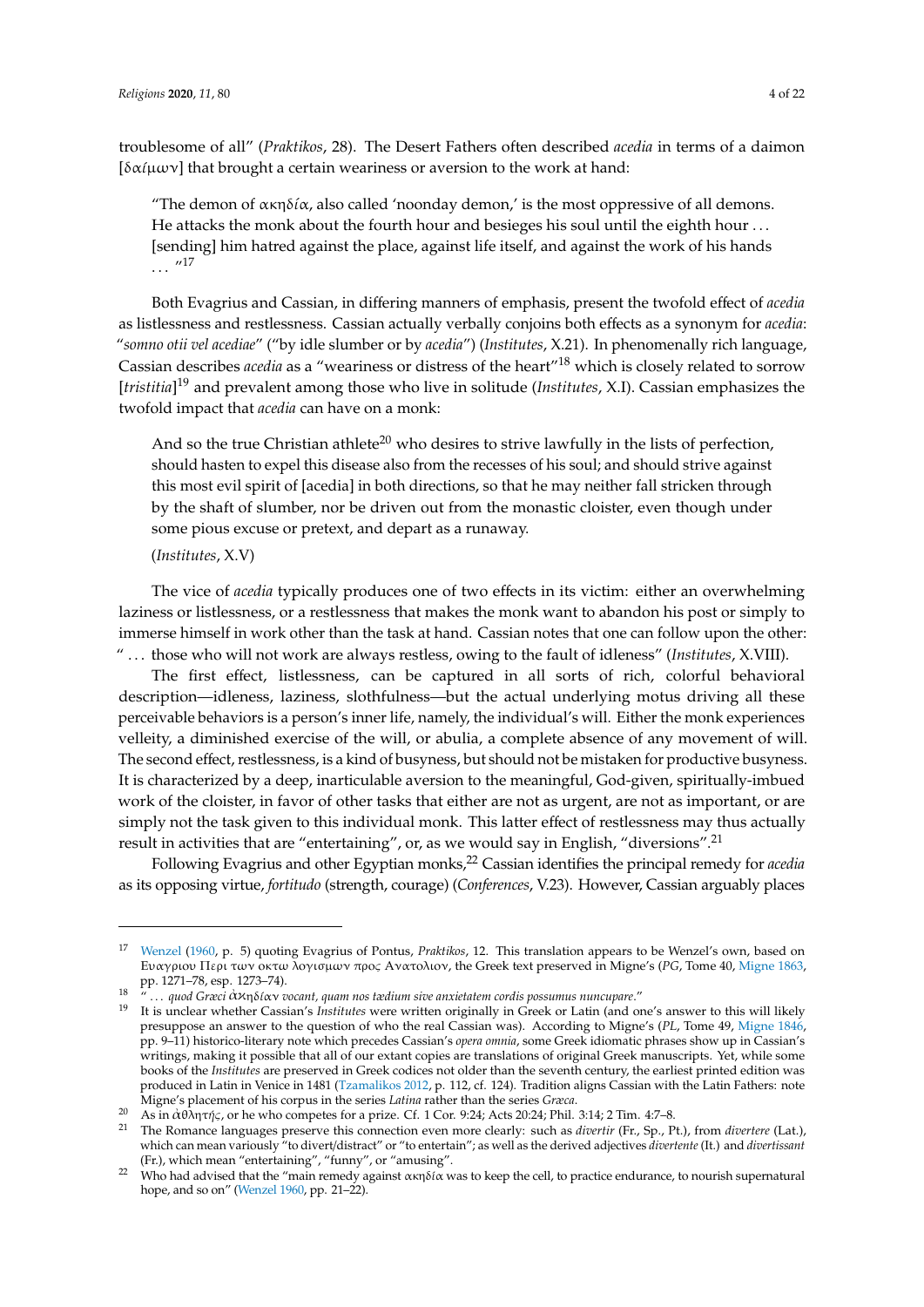troublesome of all" (*Praktikos*, 28). The Desert Fathers often described *acedia* in terms of a daimon [ $\delta\alpha$  $\mu\omega$ <sub>v</sub>] that brought a certain weariness or aversion to the work at hand:

"The demon of  $\alpha \kappa \eta \delta / \alpha$ , also called 'noonday demon,' is the most oppressive of all demons. He attacks the monk about the fourth hour and besieges his soul until the eighth hour . . . [sending] him hatred against the place, against life itself, and against the work of his hands  $\cdots$  "17

Both Evagrius and Cassian, in differing manners of emphasis, present the twofold effect of *acedia* as listlessness and restlessness. Cassian actually verbally conjoins both effects as a synonym for *acedia*: "*somno otii vel acediae*" ("by idle slumber or by *acedia*") (*Institutes*, X.21). In phenomenally rich language, Cassian describes *acedia* as a "weariness or distress of the heart"<sup>18</sup> which is closely related to sorrow [*tristitia*] <sup>19</sup> and prevalent among those who live in solitude (*Institutes*, X.I). Cassian emphasizes the twofold impact that *acedia* can have on a monk:

And so the true Christian athlete<sup>20</sup> who desires to strive lawfully in the lists of perfection, should hasten to expel this disease also from the recesses of his soul; and should strive against this most evil spirit of [acedia] in both directions, so that he may neither fall stricken through by the shaft of slumber, nor be driven out from the monastic cloister, even though under some pious excuse or pretext, and depart as a runaway.

#### (*Institutes*, X.V)

ἀ

The vice of *acedia* typically produces one of two effects in its victim: either an overwhelming laziness or listlessness, or a restlessness that makes the monk want to abandon his post or simply to immerse himself in work other than the task at hand. Cassian notes that one can follow upon the other: " . . . those who will not work are always restless, owing to the fault of idleness" (*Institutes*, X.VIII).

The first effect, listlessness, can be captured in all sorts of rich, colorful behavioral description—idleness, laziness, slothfulness—but the actual underlying motus driving all these perceivable behaviors is a person's inner life, namely, the individual's will. Either the monk experiences velleity, a diminished exercise of the will, or abulia, a complete absence of any movement of will. The second effect, restlessness, is a kind of busyness, but should not be mistaken for productive busyness. It is characterized by a deep, inarticulable aversion to the meaningful, God-given, spiritually-imbued work of the cloister, in favor of other tasks that either are not as urgent, are not as important, or are simply not the task given to this individual monk. This latter effect of restlessness may thus actually result in activities that are "entertaining", or, as we would say in English, "diversions".<sup>21</sup>

Following Evagrius and other Egyptian monks,<sup>22</sup> Cassian identifies the principal remedy for *acedia* as its opposing virtue, *fortitudo* (strength, courage) (*Conferences*, V.23). However, Cassian arguably places

<sup>17</sup> [Wenzel](#page-21-3) [\(1960,](#page-21-3) p. 5) quoting Evagrius of Pontus, *Praktikos*, 12. This translation appears to be Wenzel's own, based on Eυαγριoυ Περι των oκτω λoγισµων πρoς Aνατoλιoν, the Greek text preserved in Migne's (*PG*, Tome 40, [Migne](#page-21-12) [1863,](#page-21-12) pp. 1271–78, esp. 1273–74).

<sup>&</sup>lt;sup>18</sup> ''... quod Græci ἀκηδίαν vocant, quam nos tædium sive anxietatem cordis possumus nuncupare.''

<sup>19</sup> It is unclear whether Cassian's *Institutes* were written originally in Greek or Latin (and one's answer to this will likely presuppose an answer to the question of who the real Cassian was). According to Migne's (*PL*, Tome 49, [Migne](#page-21-13) [1846,](#page-21-13) pp. 9–11) historico-literary note which precedes Cassian's *opera omnia*, some Greek idiomatic phrases show up in Cassian's writings, making it possible that all of our extant copies are translations of original Greek manuscripts. Yet, while some books of the *Institutes* are preserved in Greek codices not older than the seventh century, the earliest printed edition was produced in Latin in Venice in 1481 [\(Tzamalikos](#page-21-14) [2012,](#page-21-14) p. 112, cf. 124). Tradition aligns Cassian with the Latin Fathers: note Migne's placement of his corpus in the series *Latina* rather than the series *Græca*.

<sup>&</sup>lt;sup>20</sup> As in αθλητής, or he who competes for a prize. Cf. 1 Cor. 9:24; Acts 20:24; Phil. 3:14; 2 Tim. 4:7–8.

<sup>21</sup> The Romance languages preserve this connection even more clearly: such as *divertir* (Fr., Sp., Pt.), from *divertere* (Lat.), which can mean variously "to divert/distract" or "to entertain"; as well as the derived adjectives *divertente* (It.) and *divertissant* (Fr.), which mean "entertaining", "funny", or "amusing".

<sup>&</sup>lt;sup>22</sup> Who had advised that the "main remedy against ακηδία was to keep the cell, to practice endurance, to nourish supernatural hope, and so on" [\(Wenzel](#page-21-3)  $1960$ , pp.  $21-\overline{22}$ ).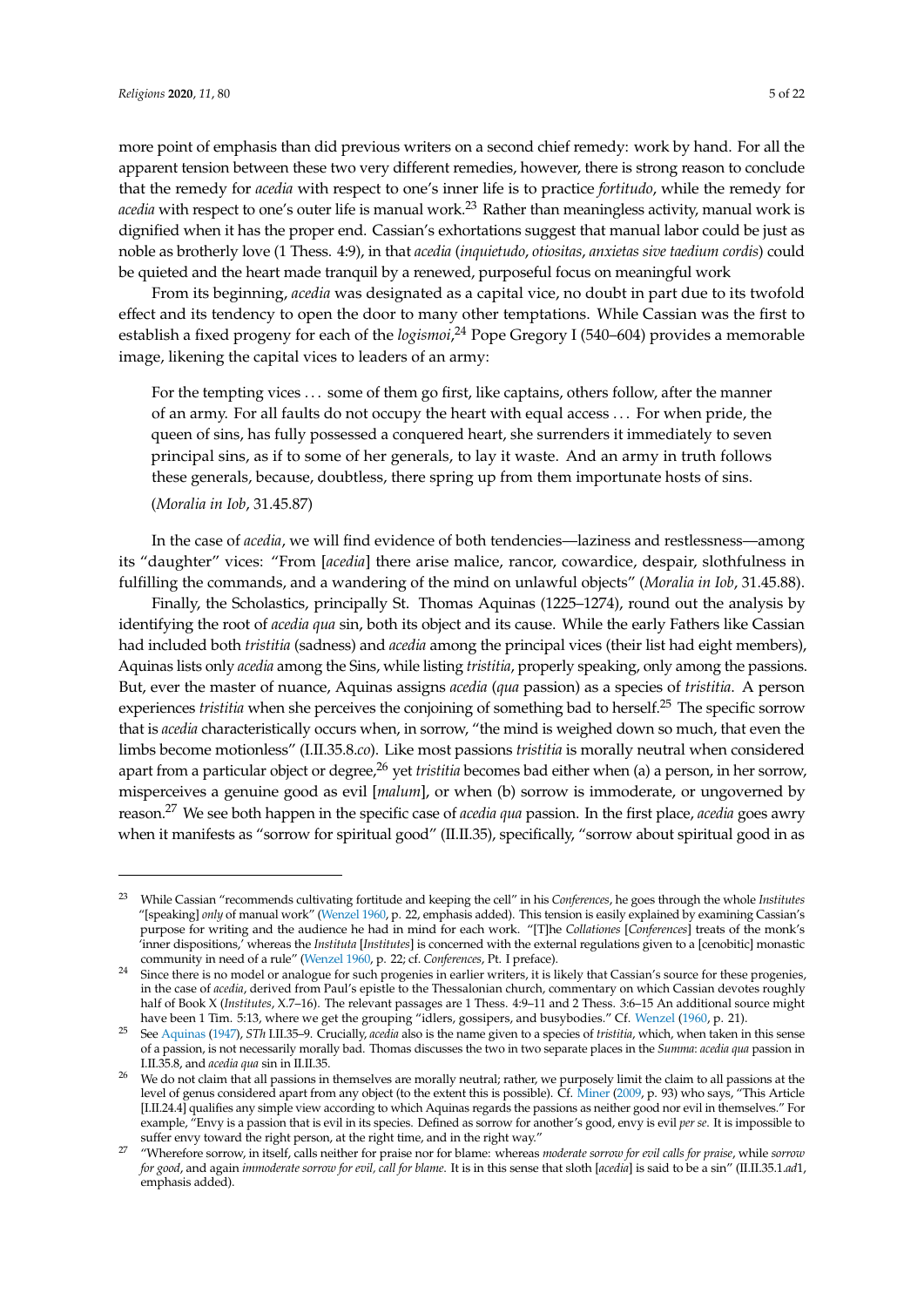more point of emphasis than did previous writers on a second chief remedy: work by hand. For all the apparent tension between these two very different remedies, however, there is strong reason to conclude that the remedy for *acedia* with respect to one's inner life is to practice *fortitudo*, while the remedy for *acedia* with respect to one's outer life is manual work.<sup>23</sup> Rather than meaningless activity, manual work is dignified when it has the proper end. Cassian's exhortations suggest that manual labor could be just as noble as brotherly love (1 Thess. 4:9), in that *acedia* (*inquietudo*, *otiositas*, *anxietas sive taedium cordis*) could be quieted and the heart made tranquil by a renewed, purposeful focus on meaningful work

From its beginning, *acedia* was designated as a capital vice, no doubt in part due to its twofold effect and its tendency to open the door to many other temptations. While Cassian was the first to establish a fixed progeny for each of the *logismoi*, <sup>24</sup> Pope Gregory I (540–604) provides a memorable image, likening the capital vices to leaders of an army:

For the tempting vices . . . some of them go first, like captains, others follow, after the manner of an army. For all faults do not occupy the heart with equal access . . . For when pride, the queen of sins, has fully possessed a conquered heart, she surrenders it immediately to seven principal sins, as if to some of her generals, to lay it waste. And an army in truth follows these generals, because, doubtless, there spring up from them importunate hosts of sins.

#### (*Moralia in Iob*, 31.45.87)

In the case of *acedia*, we will find evidence of both tendencies—laziness and restlessness—among its "daughter" vices: "From [*acedia*] there arise malice, rancor, cowardice, despair, slothfulness in fulfilling the commands, and a wandering of the mind on unlawful objects" (*Moralia in Iob*, 31.45.88).

Finally, the Scholastics, principally St. Thomas Aquinas (1225–1274), round out the analysis by identifying the root of *acedia qua* sin, both its object and its cause. While the early Fathers like Cassian had included both *tristitia* (sadness) and *acedia* among the principal vices (their list had eight members), Aquinas lists only *acedia* among the Sins, while listing *tristitia*, properly speaking, only among the passions. But, ever the master of nuance, Aquinas assigns *acedia* (*qua* passion) as a species of *tristitia*. A person experiences *tristitia* when she perceives the conjoining of something bad to herself.<sup>25</sup> The specific sorrow that is *acedia* characteristically occurs when, in sorrow, "the mind is weighed down so much, that even the limbs become motionless" (I.II.35.8.*co*). Like most passions *tristitia* is morally neutral when considered apart from a particular object or degree,<sup>26</sup> yet *tristitia* becomes bad either when (a) a person, in her sorrow, misperceives a genuine good as evil [*malum*], or when (b) sorrow is immoderate, or ungoverned by reason.<sup>27</sup> We see both happen in the specific case of *acedia qua* passion. In the first place, *acedia* goes awry when it manifests as "sorrow for spiritual good" (II.II.35), specifically, "sorrow about spiritual good in as

<sup>23</sup> While Cassian "recommends cultivating fortitude and keeping the cell" in his *Conferences*, he goes through the whole *Institutes* "[speaking] *only* of manual work" [\(Wenzel](#page-21-3) [1960,](#page-21-3) p. 22, emphasis added). This tension is easily explained by examining Cassian's purpose for writing and the audience he had in mind for each work. "[T]he *Collationes* [*Conferences*] treats of the monk's 'inner dispositions,' whereas the *Instituta* [*Institutes*] is concerned with the external regulations given to a [cenobitic] monastic community in need of a rule" [\(Wenzel](#page-21-3) [1960,](#page-21-3) p. 22; cf. *Conferences*, Pt. I preface).

<sup>&</sup>lt;sup>24</sup> Since there is no model or analogue for such progenies in earlier writers, it is likely that Cassian's source for these progenies, in the case of *acedia*, derived from Paul's epistle to the Thessalonian church, commentary on which Cassian devotes roughly half of Book X (*Institutes*, X.7–16). The relevant passages are 1 Thess. 4:9–11 and 2 Thess. 3:6–15 An additional source might have been 1 Tim. 5:13, where we get the grouping "idlers, gossipers, and busybodies." Cf. [Wenzel](#page-21-3) [\(1960,](#page-21-3) p. 21).

<sup>25</sup> See [Aquinas](#page-20-12) [\(1947\)](#page-20-12), *STh* I.II.35–9. Crucially, *acedia* also is the name given to a species of *tristitia*, which, when taken in this sense of a passion, is not necessarily morally bad. Thomas discusses the two in two separate places in the *Summa*: *acedia qua* passion in I.II.35.8, and *acedia qua* sin in II.II.35.

<sup>&</sup>lt;sup>26</sup> We do not claim that all passions in themselves are morally neutral; rather, we purposely limit the claim to all passions at the level of genus considered apart from any object (to the extent this is possible). Cf. [Miner](#page-21-15) [\(2009,](#page-21-15) p. 93) who says, "This Article [I.II.24.4] qualifies any simple view according to which Aquinas regards the passions as neither good nor evil in themselves." For example, "Envy is a passion that is evil in its species. Defined as sorrow for another's good, envy is evil *per se*. It is impossible to suffer envy toward the right person, at the right time, and in the right way."

<sup>27</sup> "Wherefore sorrow, in itself, calls neither for praise nor for blame: whereas *moderate sorrow for evil calls for praise*, while *sorrow for good*, and again *immoderate sorrow for evil, call for blame*. It is in this sense that sloth [*acedia*] is said to be a sin" (II.II.35.1.*ad*1, emphasis added).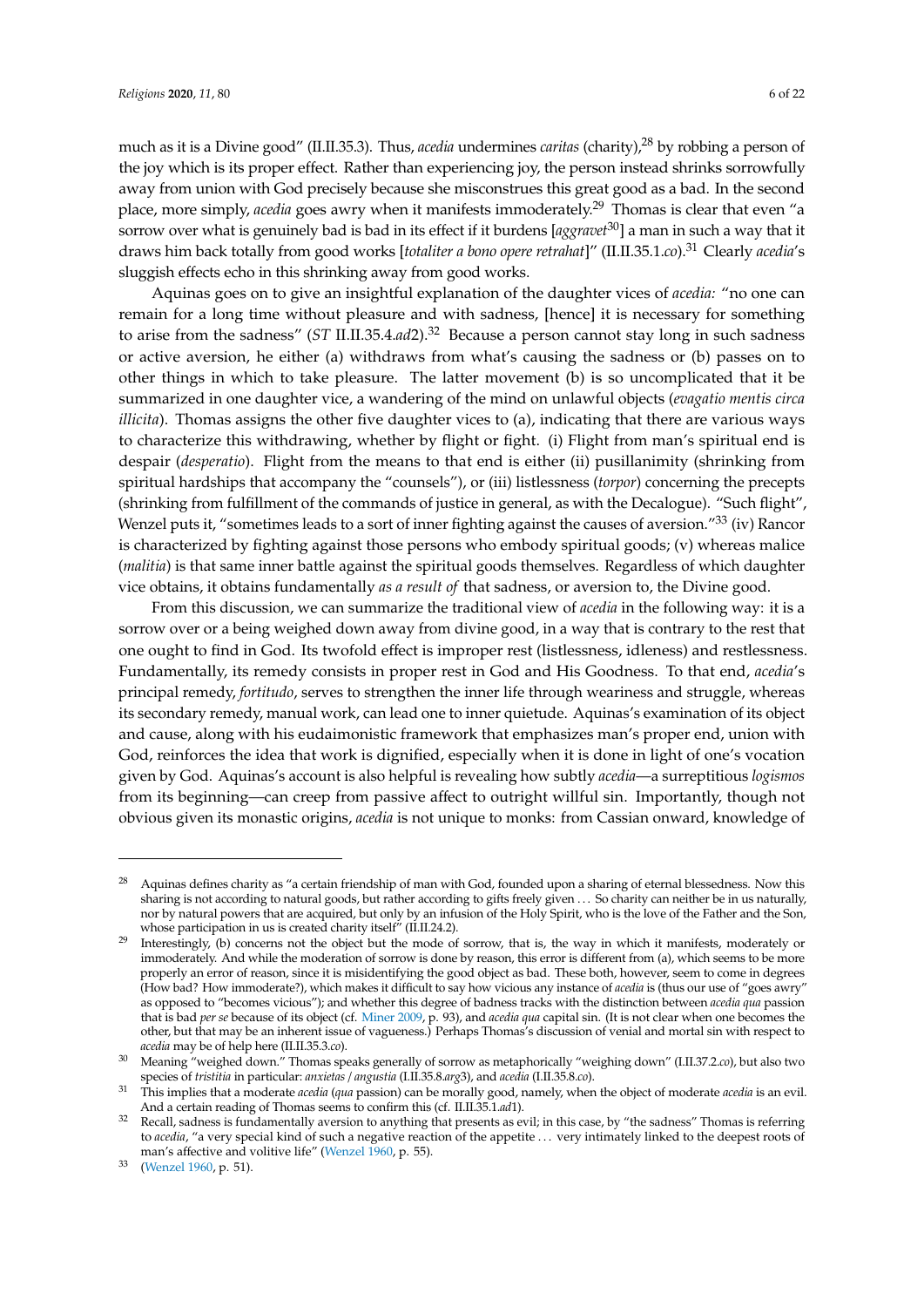much as it is a Divine good" (II.II.35.3). Thus, *acedia* undermines *caritas* (charity),<sup>28</sup> by robbing a person of the joy which is its proper effect. Rather than experiencing joy, the person instead shrinks sorrowfully away from union with God precisely because she misconstrues this great good as a bad. In the second place, more simply, *acedia* goes awry when it manifests immoderately.<sup>29</sup> Thomas is clear that even "a sorrow over what is genuinely bad is bad in its effect if it burdens [*aggravet*30] a man in such a way that it draws him back totally from good works [*totaliter a bono opere retrahat*]" (II.II.35.1.*co*).<sup>31</sup> Clearly *acedia*'s sluggish effects echo in this shrinking away from good works.

Aquinas goes on to give an insightful explanation of the daughter vices of *acedia:* "no one can remain for a long time without pleasure and with sadness, [hence] it is necessary for something to arise from the sadness" (*ST* II.II.35.4.*ad*2).<sup>32</sup> Because a person cannot stay long in such sadness or active aversion, he either (a) withdraws from what's causing the sadness or (b) passes on to other things in which to take pleasure. The latter movement (b) is so uncomplicated that it be summarized in one daughter vice, a wandering of the mind on unlawful objects (*evagatio mentis circa illicita*). Thomas assigns the other five daughter vices to (a), indicating that there are various ways to characterize this withdrawing, whether by flight or fight. (i) Flight from man's spiritual end is despair (*desperatio*). Flight from the means to that end is either (ii) pusillanimity (shrinking from spiritual hardships that accompany the "counsels"), or (iii) listlessness (*torpor*) concerning the precepts (shrinking from fulfillment of the commands of justice in general, as with the Decalogue). "Such flight", Wenzel puts it, "sometimes leads to a sort of inner fighting against the causes of aversion."<sup>33</sup> (iv) Rancor is characterized by fighting against those persons who embody spiritual goods; (v) whereas malice (*malitia*) is that same inner battle against the spiritual goods themselves. Regardless of which daughter vice obtains, it obtains fundamentally *as a result of* that sadness, or aversion to, the Divine good.

From this discussion, we can summarize the traditional view of *acedia* in the following way: it is a sorrow over or a being weighed down away from divine good, in a way that is contrary to the rest that one ought to find in God. Its twofold effect is improper rest (listlessness, idleness) and restlessness. Fundamentally, its remedy consists in proper rest in God and His Goodness. To that end, *acedia*'s principal remedy, *fortitudo*, serves to strengthen the inner life through weariness and struggle, whereas its secondary remedy, manual work, can lead one to inner quietude. Aquinas's examination of its object and cause, along with his eudaimonistic framework that emphasizes man's proper end, union with God, reinforces the idea that work is dignified, especially when it is done in light of one's vocation given by God. Aquinas's account is also helpful is revealing how subtly *acedia*—a surreptitious *logismos* from its beginning—can creep from passive affect to outright willful sin. Importantly, though not obvious given its monastic origins, *acedia* is not unique to monks: from Cassian onward, knowledge of

<sup>&</sup>lt;sup>28</sup> Aquinas defines charity as "a certain friendship of man with God, founded upon a sharing of eternal blessedness. Now this sharing is not according to natural goods, but rather according to gifts freely given . . . So charity can neither be in us naturally, nor by natural powers that are acquired, but only by an infusion of the Holy Spirit, who is the love of the Father and the Son, whose participation in us is created charity itself" (II.II.24.2).

<sup>&</sup>lt;sup>29</sup> Interestingly, (b) concerns not the object but the mode of sorrow, that is, the way in which it manifests, moderately or immoderately. And while the moderation of sorrow is done by reason, this error is different from (a), which seems to be more properly an error of reason, since it is misidentifying the good object as bad. These both, however, seem to come in degrees (How bad? How immoderate?), which makes it difficult to say how vicious any instance of *acedia* is (thus our use of "goes awry" as opposed to "becomes vicious"); and whether this degree of badness tracks with the distinction between *acedia qua* passion that is bad *per se* because of its object (cf. [Miner](#page-21-15) [2009,](#page-21-15) p. 93), and *acedia qua* capital sin. (It is not clear when one becomes the other, but that may be an inherent issue of vagueness.) Perhaps Thomas's discussion of venial and mortal sin with respect to *acedia* may be of help here (II.II.35.3.*co*).

<sup>30</sup> Meaning "weighed down." Thomas speaks generally of sorrow as metaphorically "weighing down" (I.II.37.2.*co*), but also two species of *tristitia* in particular: *anxietas* / *angustia* (I.II.35.8.*arg*3), and *acedia* (I.II.35.8.*co*).

<sup>31</sup> This implies that a moderate *acedia* (*qua* passion) can be morally good, namely, when the object of moderate *acedia* is an evil. And a certain reading of Thomas seems to confirm this (cf. II.II.35.1.*ad*1).

<sup>&</sup>lt;sup>32</sup> Recall, sadness is fundamentally aversion to anything that presents as evil; in this case, by "the sadness" Thomas is referring to *acedia*, "a very special kind of such a negative reaction of the appetite . . . very intimately linked to the deepest roots of man's affective and volitive life" [\(Wenzel](#page-21-3) [1960,](#page-21-3) p. 55).

<sup>33</sup> [\(Wenzel](#page-21-3) [1960,](#page-21-3) p. 51).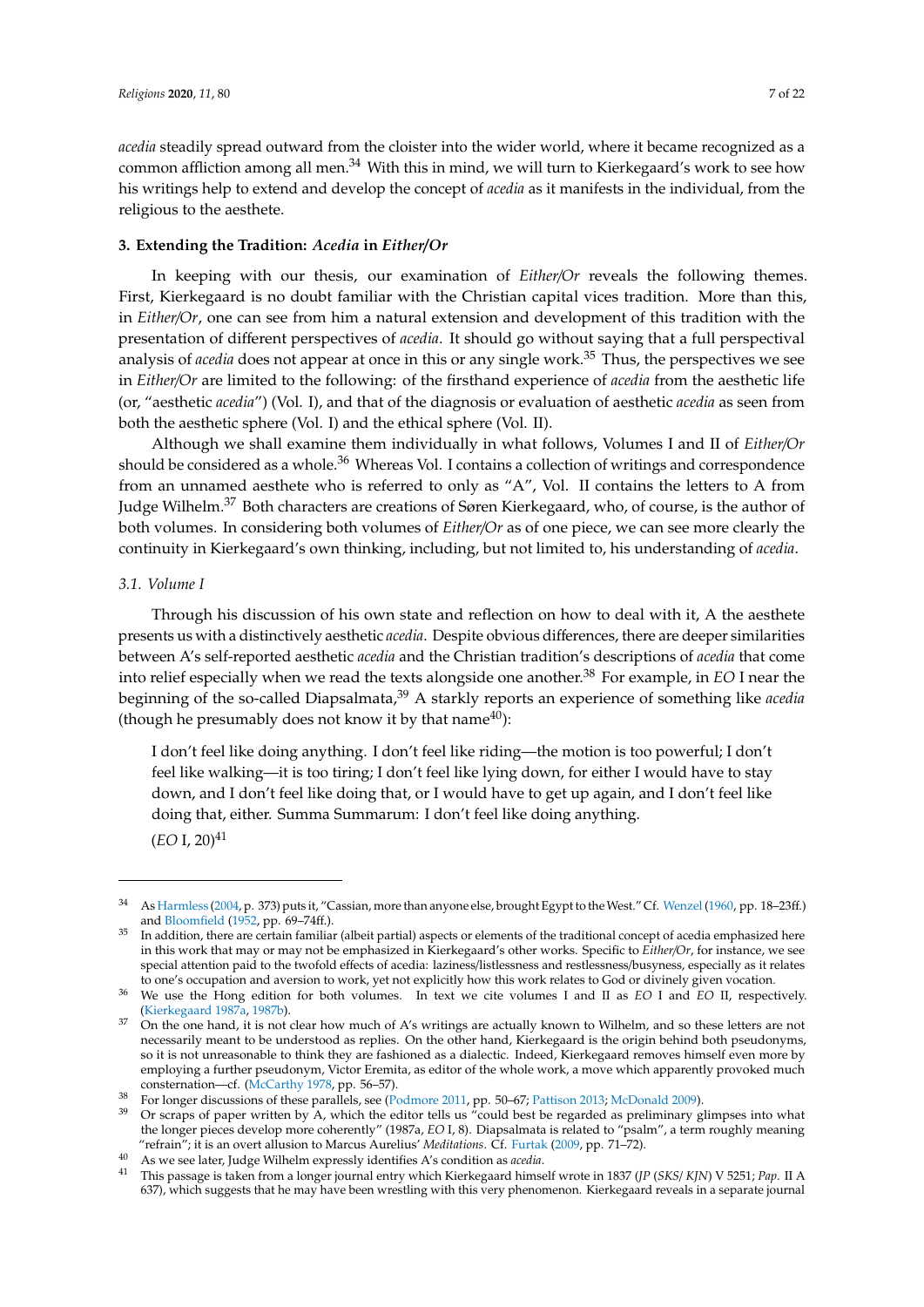*acedia* steadily spread outward from the cloister into the wider world, where it became recognized as a common affliction among all men.<sup>34</sup> With this in mind, we will turn to Kierkegaard's work to see how his writings help to extend and develop the concept of *acedia* as it manifests in the individual, from the religious to the aesthete.

#### <span id="page-6-0"></span>**3. Extending the Tradition:** *Acedia* **in** *Either*/*Or*

In keeping with our thesis, our examination of *Either*/*Or* reveals the following themes. First, Kierkegaard is no doubt familiar with the Christian capital vices tradition. More than this, in *Either*/*Or*, one can see from him a natural extension and development of this tradition with the presentation of different perspectives of *acedia*. It should go without saying that a full perspectival analysis of *acedia* does not appear at once in this or any single work.<sup>35</sup> Thus, the perspectives we see in *Either*/*Or* are limited to the following: of the firsthand experience of *acedia* from the aesthetic life (or, "aesthetic *acedia*") (Vol. I), and that of the diagnosis or evaluation of aesthetic *acedia* as seen from both the aesthetic sphere (Vol. I) and the ethical sphere (Vol. II).

Although we shall examine them individually in what follows, Volumes I and II of *Either*/*Or* should be considered as a whole.<sup>36</sup> Whereas Vol. I contains a collection of writings and correspondence from an unnamed aesthete who is referred to only as "A", Vol. II contains the letters to A from Judge Wilhelm.<sup>37</sup> Both characters are creations of Søren Kierkegaard, who, of course, is the author of both volumes. In considering both volumes of *Either*/*Or* as of one piece, we can see more clearly the continuity in Kierkegaard's own thinking, including, but not limited to, his understanding of *acedia*.

## *3.1. Volume I*

Through his discussion of his own state and reflection on how to deal with it, A the aesthete presents us with a distinctively aesthetic *acedia*. Despite obvious differences, there are deeper similarities between A's self-reported aesthetic *acedia* and the Christian tradition's descriptions of *acedia* that come into relief especially when we read the texts alongside one another.<sup>38</sup> For example, in *EO* I near the beginning of the so-called Diapsalmata,<sup>39</sup> A starkly reports an experience of something like *acedia* (though he presumably does not know it by that name<sup>40</sup>):

I don't feel like doing anything. I don't feel like riding—the motion is too powerful; I don't feel like walking—it is too tiring; I don't feel like lying down, for either I would have to stay down, and I don't feel like doing that, or I would have to get up again, and I don't feel like doing that, either. Summa Summarum: I don't feel like doing anything.  $(EO I, 20)^{41}$ 

<sup>34</sup> As [Harmless](#page-20-11) [\(2004,](#page-20-11) p. 373) puts it, "Cassian, more than anyone else, brought Egypt to theWest." Cf. [Wenzel\(1960,](#page-21-3) pp. 18–23ff.) and [Bloomfield](#page-20-13) [\(1952,](#page-20-13) pp. 69–74ff.).

<sup>35</sup> In addition, there are certain familiar (albeit partial) aspects or elements of the traditional concept of acedia emphasized here in this work that may or may not be emphasized in Kierkegaard's other works. Specific to *Either*/*Or*, for instance, we see special attention paid to the twofold effects of acedia: laziness/listlessness and restlessness/busyness, especially as it relates to one's occupation and aversion to work, yet not explicitly how this work relates to God or divinely given vocation.

<sup>36</sup> We use the Hong edition for both volumes. In text we cite volumes I and II as *EO* I and *EO* II, respectively. [\(Kierkegaard](#page-20-14) [1987a,](#page-20-14) [1987b\)](#page-20-15).

 $37$  On the one hand, it is not clear how much of A's writings are actually known to Wilhelm, and so these letters are not necessarily meant to be understood as replies. On the other hand, Kierkegaard is the origin behind both pseudonyms, so it is not unreasonable to think they are fashioned as a dialectic. Indeed, Kierkegaard removes himself even more by employing a further pseudonym, Victor Eremita, as editor of the whole work, a move which apparently provoked much consternation—cf. [\(McCarthy](#page-21-16) [1978,](#page-21-16) pp. 56–57).

<sup>38</sup> For longer discussions of these parallels, see [\(Podmore](#page-21-8) [2011,](#page-21-8) pp. 50–67; [Pattison](#page-21-7) [2013;](#page-21-7) [McDonald](#page-21-6) [2009\)](#page-21-6).

 $39$  Or scraps of paper written by A, which the editor tells us "could best be regarded as preliminary glimpses into what the longer pieces develop more coherently" (1987a, *EO* I, 8). Diapsalmata is related to "psalm", a term roughly meaning "refrain"; it is an overt allusion to Marcus Aurelius' *Meditations*. Cf. [Furtak](#page-20-16) [\(2009,](#page-20-16) pp. 71–72).

<sup>40</sup> As we see later, Judge Wilhelm expressly identifies A's condition as *acedia*.

<sup>41</sup> This passage is taken from a longer journal entry which Kierkegaard himself wrote in 1837 (*JP* (*SKS*/ *KJN*) V 5251; *Pap*. II A 637), which suggests that he may have been wrestling with this very phenomenon. Kierkegaard reveals in a separate journal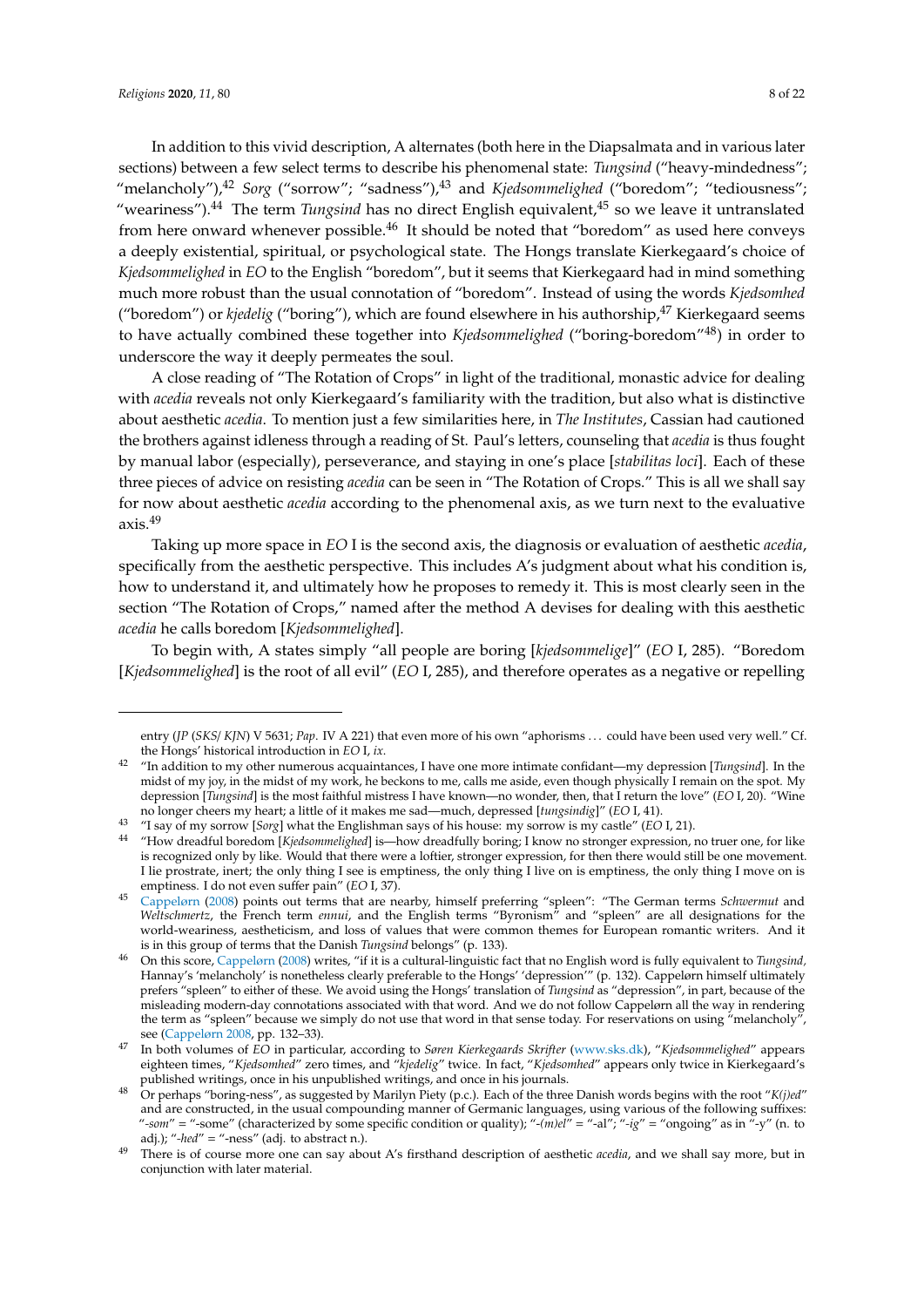In addition to this vivid description, A alternates (both here in the Diapsalmata and in various later sections) between a few select terms to describe his phenomenal state: *Tungsind* ("heavy-mindedness"; "melancholy"),<sup>42</sup> *Sorg* ("sorrow"; "sadness"),<sup>43</sup> and *Kjedsommelighed* ("boredom"; "tediousness"; "weariness").<sup>44</sup> The term *Tungsind* has no direct English equivalent,<sup>45</sup> so we leave it untranslated from here onward whenever possible.<sup>46</sup> It should be noted that "boredom" as used here conveys a deeply existential, spiritual, or psychological state. The Hongs translate Kierkegaard's choice of *Kjedsommelighed* in *EO* to the English "boredom", but it seems that Kierkegaard had in mind something much more robust than the usual connotation of "boredom". Instead of using the words *Kjedsomhed* ("boredom") or *kjedelig* ("boring"), which are found elsewhere in his authorship,<sup>47</sup> Kierkegaard seems to have actually combined these together into *Kjedsommelighed* ("boring-boredom"48) in order to underscore the way it deeply permeates the soul.

A close reading of "The Rotation of Crops" in light of the traditional, monastic advice for dealing with *acedia* reveals not only Kierkegaard's familiarity with the tradition, but also what is distinctive about aesthetic *acedia*. To mention just a few similarities here, in *The Institutes*, Cassian had cautioned the brothers against idleness through a reading of St. Paul's letters, counseling that *acedia* is thus fought by manual labor (especially), perseverance, and staying in one's place [*stabilitas loci*]. Each of these three pieces of advice on resisting *acedia* can be seen in "The Rotation of Crops." This is all we shall say for now about aesthetic *acedia* according to the phenomenal axis, as we turn next to the evaluative axis.<sup>49</sup>

Taking up more space in *EO* I is the second axis, the diagnosis or evaluation of aesthetic *acedia*, specifically from the aesthetic perspective. This includes A's judgment about what his condition is, how to understand it, and ultimately how he proposes to remedy it. This is most clearly seen in the section "The Rotation of Crops," named after the method A devises for dealing with this aesthetic *acedia* he calls boredom [*Kjedsommelighed*].

To begin with, A states simply "all people are boring [*kjedsommelige*]" (*EO* I, 285). "Boredom [*Kjedsommelighed*] is the root of all evil" (*EO* I, 285), and therefore operates as a negative or repelling

entry (*JP* (*SKS*/ *KJN*) V 5631; *Pap*. IV A 221) that even more of his own "aphorisms . . . could have been used very well." Cf. the Hongs' historical introduction in *EO* I, *ix*.

<sup>42</sup> "In addition to my other numerous acquaintances, I have one more intimate confidant—my depression [*Tungsind*]. In the midst of my joy, in the midst of my work, he beckons to me, calls me aside, even though physically I remain on the spot. My depression [*Tungsind*] is the most faithful mistress I have known—no wonder, then, that I return the love" (*EO* I, 20). "Wine no longer cheers my heart; a little of it makes me sad—much, depressed [*tungsindig*]" (*EO* I, 41).

<sup>43</sup> "I say of my sorrow [*Sorg*] what the Englishman says of his house: my sorrow is my castle" (*EO* I, 21).

<sup>44</sup> "How dreadful boredom [*Kjedsommelighed*] is—how dreadfully boring; I know no stronger expression, no truer one, for like is recognized only by like. Would that there were a loftier, stronger expression, for then there would still be one movement. I lie prostrate, inert; the only thing I see is emptiness, the only thing I live on is emptiness, the only thing I move on is emptiness. I do not even suffer pain" (*EO* I, 37).

<sup>45</sup> [Cappelørn](#page-20-6) [\(2008\)](#page-20-6) points out terms that are nearby, himself preferring "spleen": "The German terms *Schwermut* and *Weltschmertz*, the French term *ennui*, and the English terms "Byronism" and "spleen" are all designations for the world-weariness, aestheticism, and loss of values that were common themes for European romantic writers. And it is in this group of terms that the Danish *Tungsind* belongs" (p. 133).

<sup>46</sup> On this score, [Cappelørn](#page-20-6) [\(2008\)](#page-20-6) writes, "if it is a cultural-linguistic fact that no English word is fully equivalent to *Tungsind,* Hannay's 'melancholy' is nonetheless clearly preferable to the Hongs' 'depression'" (p. 132). Cappelørn himself ultimately prefers "spleen" to either of these. We avoid using the Hongs' translation of *Tungsind* as "depression", in part, because of the misleading modern-day connotations associated with that word. And we do not follow Cappelørn all the way in rendering the term as "spleen" because we simply do not use that word in that sense today. For reservations on using "melancholy", see [\(Cappelørn](#page-20-6) [2008,](#page-20-6) pp. 132–33).

<sup>47</sup> In both volumes of *EO* in particular, according to *Søren Kierkegaards Skrifter* [\(www.sks.dk\)](www.sks.dk), "*Kjedsommelighed*" appears eighteen times, "*Kjedsomhed*" zero times, and "*kjedelig*" twice. In fact, "*Kjedsomhed*" appears only twice in Kierkegaard's published writings, once in his unpublished writings, and once in his journals.

<sup>48</sup> Or perhaps "boring-ness", as suggested by Marilyn Piety (p.c.). Each of the three Danish words begins with the root "*K(j)ed*" and are constructed, in the usual compounding manner of Germanic languages, using various of the following suffixes: "*-som*" = "-some" (characterized by some specific condition or quality); "-*(m)el*" = "-al"; "*-ig*" = "ongoing" as in "-y" (n. to adj.); "*-hed*" = "-ness" (adj. to abstract n.).

There is of course more one can say about A's firsthand description of aesthetic *acedia*, and we shall say more, but in conjunction with later material.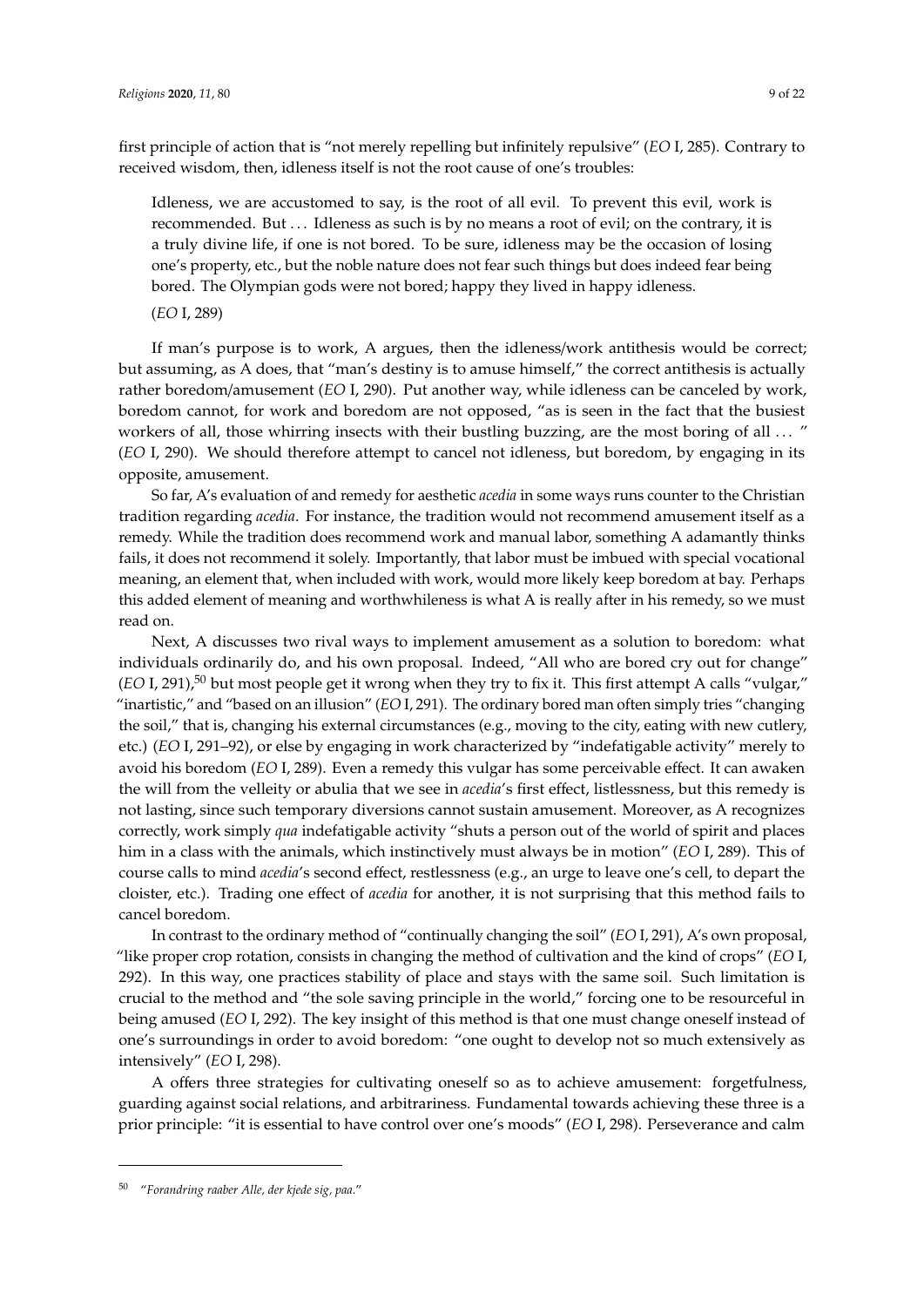first principle of action that is "not merely repelling but infinitely repulsive" (*EO* I, 285). Contrary to received wisdom, then, idleness itself is not the root cause of one's troubles:

Idleness, we are accustomed to say, is the root of all evil. To prevent this evil, work is recommended. But . . . Idleness as such is by no means a root of evil; on the contrary, it is a truly divine life, if one is not bored. To be sure, idleness may be the occasion of losing one's property, etc., but the noble nature does not fear such things but does indeed fear being bored. The Olympian gods were not bored; happy they lived in happy idleness.

(*EO* I, 289)

If man's purpose is to work, A argues, then the idleness/work antithesis would be correct; but assuming, as A does, that "man's destiny is to amuse himself," the correct antithesis is actually rather boredom/amusement (*EO* I, 290). Put another way, while idleness can be canceled by work, boredom cannot, for work and boredom are not opposed, "as is seen in the fact that the busiest workers of all, those whirring insects with their bustling buzzing, are the most boring of all ... " (*EO* I, 290). We should therefore attempt to cancel not idleness, but boredom, by engaging in its opposite, amusement.

So far, A's evaluation of and remedy for aesthetic *acedia* in some ways runs counter to the Christian tradition regarding *acedia*. For instance, the tradition would not recommend amusement itself as a remedy. While the tradition does recommend work and manual labor, something A adamantly thinks fails, it does not recommend it solely. Importantly, that labor must be imbued with special vocational meaning, an element that, when included with work, would more likely keep boredom at bay. Perhaps this added element of meaning and worthwhileness is what A is really after in his remedy, so we must read on.

Next, A discusses two rival ways to implement amusement as a solution to boredom: what individuals ordinarily do, and his own proposal. Indeed, "All who are bored cry out for change"  $(EO I, 291)$ ,<sup>50</sup> but most people get it wrong when they try to fix it. This first attempt A calls "vulgar," "inartistic," and "based on an illusion" (*EO* I, 291). The ordinary bored man often simply tries "changing the soil," that is, changing his external circumstances (e.g., moving to the city, eating with new cutlery, etc.) (*EO* I, 291–92), or else by engaging in work characterized by "indefatigable activity" merely to avoid his boredom (*EO* I, 289). Even a remedy this vulgar has some perceivable effect. It can awaken the will from the velleity or abulia that we see in *acedia*'s first effect, listlessness, but this remedy is not lasting, since such temporary diversions cannot sustain amusement. Moreover, as A recognizes correctly, work simply *qua* indefatigable activity "shuts a person out of the world of spirit and places him in a class with the animals, which instinctively must always be in motion" (*EO* I, 289). This of course calls to mind *acedia*'s second effect, restlessness (e.g., an urge to leave one's cell, to depart the cloister, etc.). Trading one effect of *acedia* for another, it is not surprising that this method fails to cancel boredom.

In contrast to the ordinary method of "continually changing the soil" (*EO* I, 291), A's own proposal, "like proper crop rotation, consists in changing the method of cultivation and the kind of crops" (*EO* I, 292). In this way, one practices stability of place and stays with the same soil. Such limitation is crucial to the method and "the sole saving principle in the world," forcing one to be resourceful in being amused (*EO* I, 292). The key insight of this method is that one must change oneself instead of one's surroundings in order to avoid boredom: "one ought to develop not so much extensively as intensively" (*EO* I, 298).

A offers three strategies for cultivating oneself so as to achieve amusement: forgetfulness, guarding against social relations, and arbitrariness. Fundamental towards achieving these three is a prior principle: "it is essential to have control over one's moods" (*EO* I, 298). Perseverance and calm

<sup>50</sup> "*Forandring raaber Alle, der kjede sig, paa*."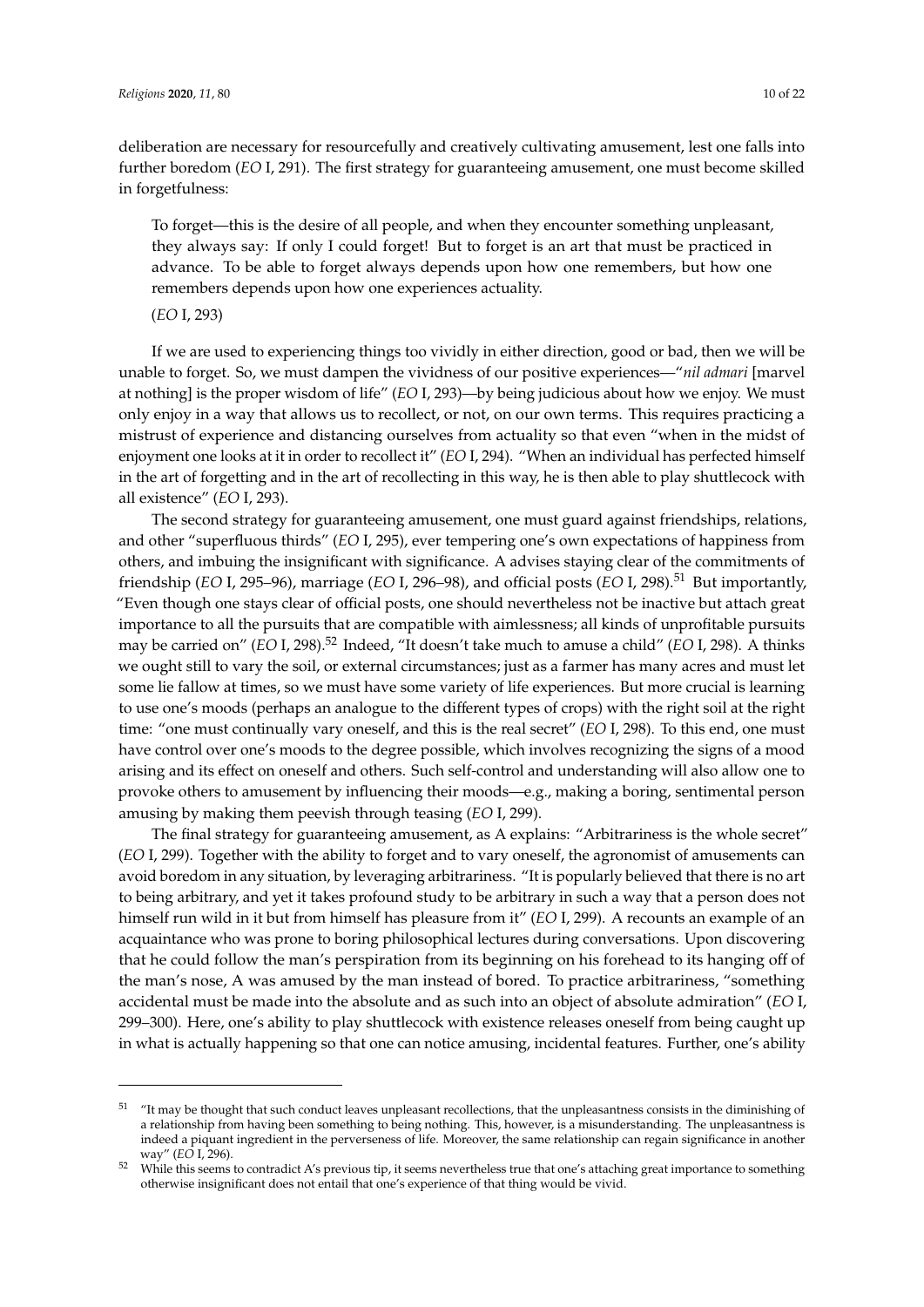deliberation are necessary for resourcefully and creatively cultivating amusement, lest one falls into further boredom (*EO* I, 291). The first strategy for guaranteeing amusement, one must become skilled in forgetfulness:

To forget—this is the desire of all people, and when they encounter something unpleasant, they always say: If only I could forget! But to forget is an art that must be practiced in advance. To be able to forget always depends upon how one remembers, but how one remembers depends upon how one experiences actuality.

(*EO* I, 293)

If we are used to experiencing things too vividly in either direction, good or bad, then we will be unable to forget. So, we must dampen the vividness of our positive experiences—"*nil admari* [marvel at nothing] is the proper wisdom of life" (*EO* I, 293)—by being judicious about how we enjoy. We must only enjoy in a way that allows us to recollect, or not, on our own terms. This requires practicing a mistrust of experience and distancing ourselves from actuality so that even "when in the midst of enjoyment one looks at it in order to recollect it" (*EO* I, 294). "When an individual has perfected himself in the art of forgetting and in the art of recollecting in this way, he is then able to play shuttlecock with all existence" (*EO* I, 293).

The second strategy for guaranteeing amusement, one must guard against friendships, relations, and other "superfluous thirds" (*EO* I, 295), ever tempering one's own expectations of happiness from others, and imbuing the insignificant with significance. A advises staying clear of the commitments of friendship (*EO* I, 295–96), marriage (*EO* I, 296–98), and official posts (*EO* I, 298).<sup>51</sup> But importantly, "Even though one stays clear of official posts, one should nevertheless not be inactive but attach great importance to all the pursuits that are compatible with aimlessness; all kinds of unprofitable pursuits may be carried on" (*EO* I, 298).<sup>52</sup> Indeed, "It doesn't take much to amuse a child" (*EO* I, 298). A thinks we ought still to vary the soil, or external circumstances; just as a farmer has many acres and must let some lie fallow at times, so we must have some variety of life experiences. But more crucial is learning to use one's moods (perhaps an analogue to the different types of crops) with the right soil at the right time: "one must continually vary oneself, and this is the real secret" (*EO* I, 298). To this end, one must have control over one's moods to the degree possible, which involves recognizing the signs of a mood arising and its effect on oneself and others. Such self-control and understanding will also allow one to provoke others to amusement by influencing their moods—e.g., making a boring, sentimental person amusing by making them peevish through teasing (*EO* I, 299).

The final strategy for guaranteeing amusement, as A explains: "Arbitrariness is the whole secret" (*EO* I, 299). Together with the ability to forget and to vary oneself, the agronomist of amusements can avoid boredom in any situation, by leveraging arbitrariness. "It is popularly believed that there is no art to being arbitrary, and yet it takes profound study to be arbitrary in such a way that a person does not himself run wild in it but from himself has pleasure from it" (*EO* I, 299). A recounts an example of an acquaintance who was prone to boring philosophical lectures during conversations. Upon discovering that he could follow the man's perspiration from its beginning on his forehead to its hanging off of the man's nose, A was amused by the man instead of bored. To practice arbitrariness, "something accidental must be made into the absolute and as such into an object of absolute admiration" (*EO* I, 299–300). Here, one's ability to play shuttlecock with existence releases oneself from being caught up in what is actually happening so that one can notice amusing, incidental features. Further, one's ability

<sup>&</sup>lt;sup>51</sup> "It may be thought that such conduct leaves unpleasant recollections, that the unpleasantness consists in the diminishing of a relationship from having been something to being nothing. This, however, is a misunderstanding. The unpleasantness is indeed a piquant ingredient in the perverseness of life. Moreover, the same relationship can regain significance in another way" (*EO* I, 296).

<sup>&</sup>lt;sup>52</sup> While this seems to contradict A's previous tip, it seems nevertheless true that one's attaching great importance to something otherwise insignificant does not entail that one's experience of that thing would be vivid.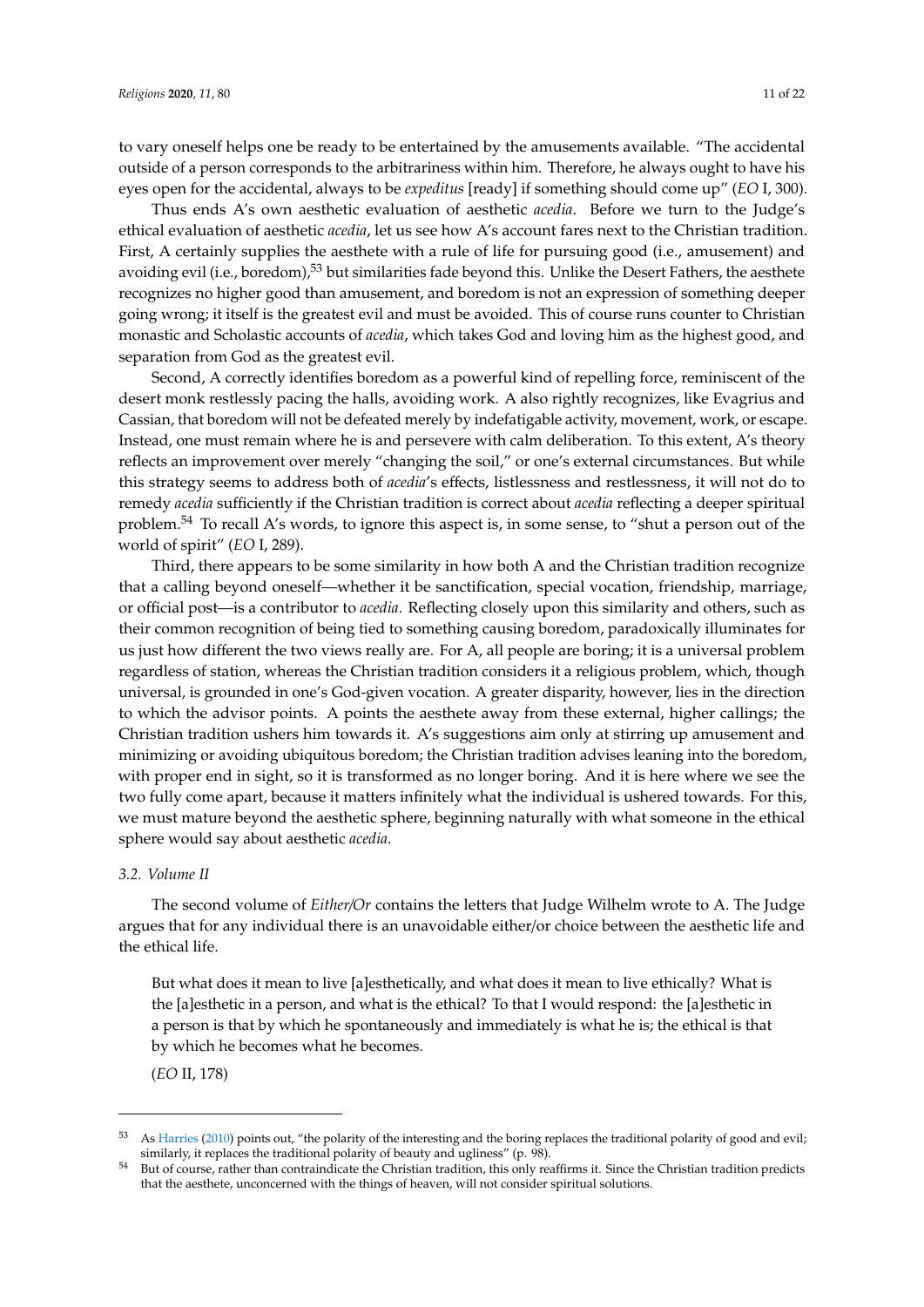to vary oneself helps one be ready to be entertained by the amusements available. "The accidental outside of a person corresponds to the arbitrariness within him. Therefore, he always ought to have his eyes open for the accidental, always to be *expeditus* [ready] if something should come up" (*EO* I, 300).

Thus ends A's own aesthetic evaluation of aesthetic *acedia*. Before we turn to the Judge's ethical evaluation of aesthetic *acedia*, let us see how A's account fares next to the Christian tradition. First, A certainly supplies the aesthete with a rule of life for pursuing good (i.e., amusement) and avoiding evil (i.e., boredom),<sup>53</sup> but similarities fade beyond this. Unlike the Desert Fathers, the aesthete recognizes no higher good than amusement, and boredom is not an expression of something deeper going wrong; it itself is the greatest evil and must be avoided. This of course runs counter to Christian monastic and Scholastic accounts of *acedia*, which takes God and loving him as the highest good, and separation from God as the greatest evil.

Second, A correctly identifies boredom as a powerful kind of repelling force, reminiscent of the desert monk restlessly pacing the halls, avoiding work. A also rightly recognizes, like Evagrius and Cassian, that boredom will not be defeated merely by indefatigable activity, movement, work, or escape. Instead, one must remain where he is and persevere with calm deliberation. To this extent, A's theory reflects an improvement over merely "changing the soil," or one's external circumstances. But while this strategy seems to address both of *acedia*'s effects, listlessness and restlessness, it will not do to remedy *acedia* sufficiently if the Christian tradition is correct about *acedia* reflecting a deeper spiritual problem.<sup>54</sup> To recall A's words, to ignore this aspect is, in some sense, to "shut a person out of the world of spirit" (*EO* I, 289).

Third, there appears to be some similarity in how both A and the Christian tradition recognize that a calling beyond oneself—whether it be sanctification, special vocation, friendship, marriage, or official post—is a contributor to *acedia*. Reflecting closely upon this similarity and others, such as their common recognition of being tied to something causing boredom, paradoxically illuminates for us just how different the two views really are. For A, all people are boring; it is a universal problem regardless of station, whereas the Christian tradition considers it a religious problem, which, though universal, is grounded in one's God-given vocation. A greater disparity, however, lies in the direction to which the advisor points. A points the aesthete away from these external, higher callings; the Christian tradition ushers him towards it. A's suggestions aim only at stirring up amusement and minimizing or avoiding ubiquitous boredom; the Christian tradition advises leaning into the boredom, with proper end in sight, so it is transformed as no longer boring. And it is here where we see the two fully come apart, because it matters infinitely what the individual is ushered towards. For this, we must mature beyond the aesthetic sphere, beginning naturally with what someone in the ethical sphere would say about aesthetic *acedia*.

#### *3.2. Volume II*

The second volume of *Either*/*Or* contains the letters that Judge Wilhelm wrote to A. The Judge argues that for any individual there is an unavoidable either/or choice between the aesthetic life and the ethical life.

But what does it mean to live [a]esthetically, and what does it mean to live ethically? What is the [a]esthetic in a person, and what is the ethical? To that I would respond: the [a]esthetic in a person is that by which he spontaneously and immediately is what he is; the ethical is that by which he becomes what he becomes.

(*EO* II, 178)

<sup>53</sup> As [Harries](#page-20-17) [\(2010\)](#page-20-17) points out, "the polarity of the interesting and the boring replaces the traditional polarity of good and evil; similarly, it replaces the traditional polarity of beauty and ugliness" (p. 98).

<sup>54</sup> But of course, rather than contraindicate the Christian tradition, this only reaffirms it. Since the Christian tradition predicts that the aesthete, unconcerned with the things of heaven, will not consider spiritual solutions.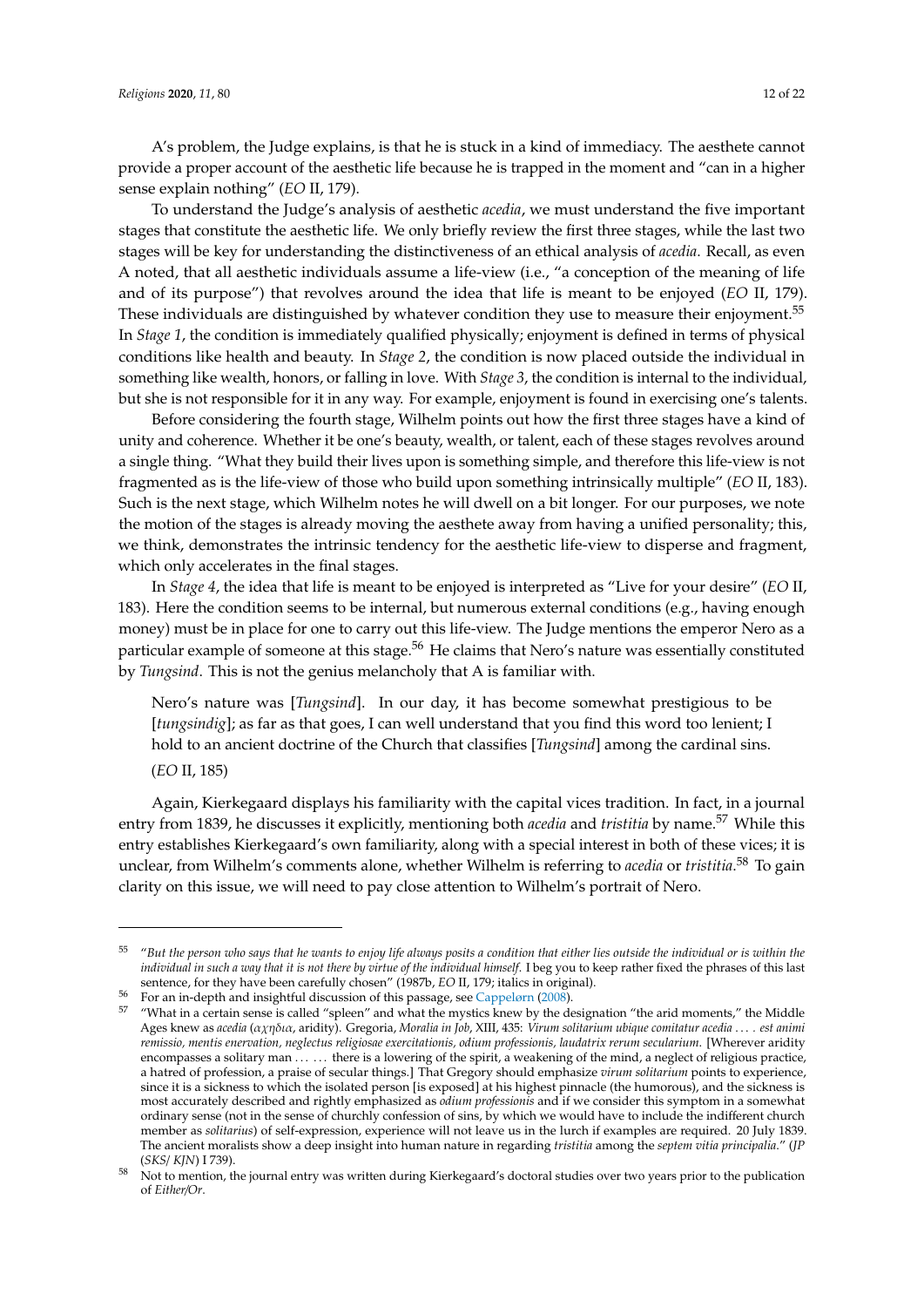A's problem, the Judge explains, is that he is stuck in a kind of immediacy. The aesthete cannot provide a proper account of the aesthetic life because he is trapped in the moment and "can in a higher sense explain nothing" (*EO* II, 179).

To understand the Judge's analysis of aesthetic *acedia*, we must understand the five important stages that constitute the aesthetic life. We only briefly review the first three stages, while the last two stages will be key for understanding the distinctiveness of an ethical analysis of *acedia*. Recall, as even A noted, that all aesthetic individuals assume a life-view (i.e., "a conception of the meaning of life and of its purpose") that revolves around the idea that life is meant to be enjoyed (*EO* II, 179). These individuals are distinguished by whatever condition they use to measure their enjoyment.<sup>55</sup> In *Stage 1*, the condition is immediately qualified physically; enjoyment is defined in terms of physical conditions like health and beauty. In *Stage 2*, the condition is now placed outside the individual in something like wealth, honors, or falling in love. With *Stage 3*, the condition is internal to the individual, but she is not responsible for it in any way. For example, enjoyment is found in exercising one's talents.

Before considering the fourth stage, Wilhelm points out how the first three stages have a kind of unity and coherence. Whether it be one's beauty, wealth, or talent, each of these stages revolves around a single thing. "What they build their lives upon is something simple, and therefore this life-view is not fragmented as is the life-view of those who build upon something intrinsically multiple" (*EO* II, 183). Such is the next stage, which Wilhelm notes he will dwell on a bit longer. For our purposes, we note the motion of the stages is already moving the aesthete away from having a unified personality; this, we think, demonstrates the intrinsic tendency for the aesthetic life-view to disperse and fragment, which only accelerates in the final stages.

In *Stage 4*, the idea that life is meant to be enjoyed is interpreted as "Live for your desire" (*EO* II, 183). Here the condition seems to be internal, but numerous external conditions (e.g., having enough money) must be in place for one to carry out this life-view. The Judge mentions the emperor Nero as a particular example of someone at this stage.<sup>56</sup> He claims that Nero's nature was essentially constituted by *Tungsind*. This is not the genius melancholy that A is familiar with.

Nero's nature was [*Tungsind*]. In our day, it has become somewhat prestigious to be [*tungsindig*]; as far as that goes, I can well understand that you find this word too lenient; I hold to an ancient doctrine of the Church that classifies [*Tungsind*] among the cardinal sins. (*EO* II, 185)

Again, Kierkegaard displays his familiarity with the capital vices tradition. In fact, in a journal entry from 1839, he discusses it explicitly, mentioning both *acedia* and *tristitia* by name.<sup>57</sup> While this entry establishes Kierkegaard's own familiarity, along with a special interest in both of these vices; it is unclear, from Wilhelm's comments alone, whether Wilhelm is referring to *acedia* or *tristitia*. <sup>58</sup> To gain clarity on this issue, we will need to pay close attention to Wilhelm's portrait of Nero.

<sup>55</sup> "*But the person who says that he wants to enjoy life always posits a condition that either lies outside the individual or is within the individual in such a way that it is not there by virtue of the individual himself*. I beg you to keep rather fixed the phrases of this last sentence, for they have been carefully chosen" (1987b, *EO* II, 179; italics in original).

<sup>56</sup> For an in-depth and insightful discussion of this passage, see [Cappelørn](#page-20-6) [\(2008\)](#page-20-6).

<sup>&</sup>quot;What in a certain sense is called "spleen" and what the mystics knew by the designation "the arid moments," the Middle Ages knew as *acedia* (αχηδια, aridity). Gregoria, *Moralia in Job*, XIII, 435: *Virum solitarium ubique comitatur acedia* . . . *. est animi remissio, mentis enervation, neglectus religiosae exercitationis, odium professionis, laudatrix rerum secularium*. [Wherever aridity encompasses a solitary man . . . . . . there is a lowering of the spirit, a weakening of the mind, a neglect of religious practice, a hatred of profession, a praise of secular things.] That Gregory should emphasize *virum solitarium* points to experience, since it is a sickness to which the isolated person [is exposed] at his highest pinnacle (the humorous), and the sickness is most accurately described and rightly emphasized as *odium professionis* and if we consider this symptom in a somewhat ordinary sense (not in the sense of churchly confession of sins, by which we would have to include the indifferent church member as *solitarius*) of self-expression, experience will not leave us in the lurch if examples are required. 20 July 1839. The ancient moralists show a deep insight into human nature in regarding *tristitia* among the *septem vitia principalia*." (*JP* (*SKS*/ *KJN*) I 739).

<sup>58</sup> Not to mention, the journal entry was written during Kierkegaard's doctoral studies over two years prior to the publication of *Either*/*Or*.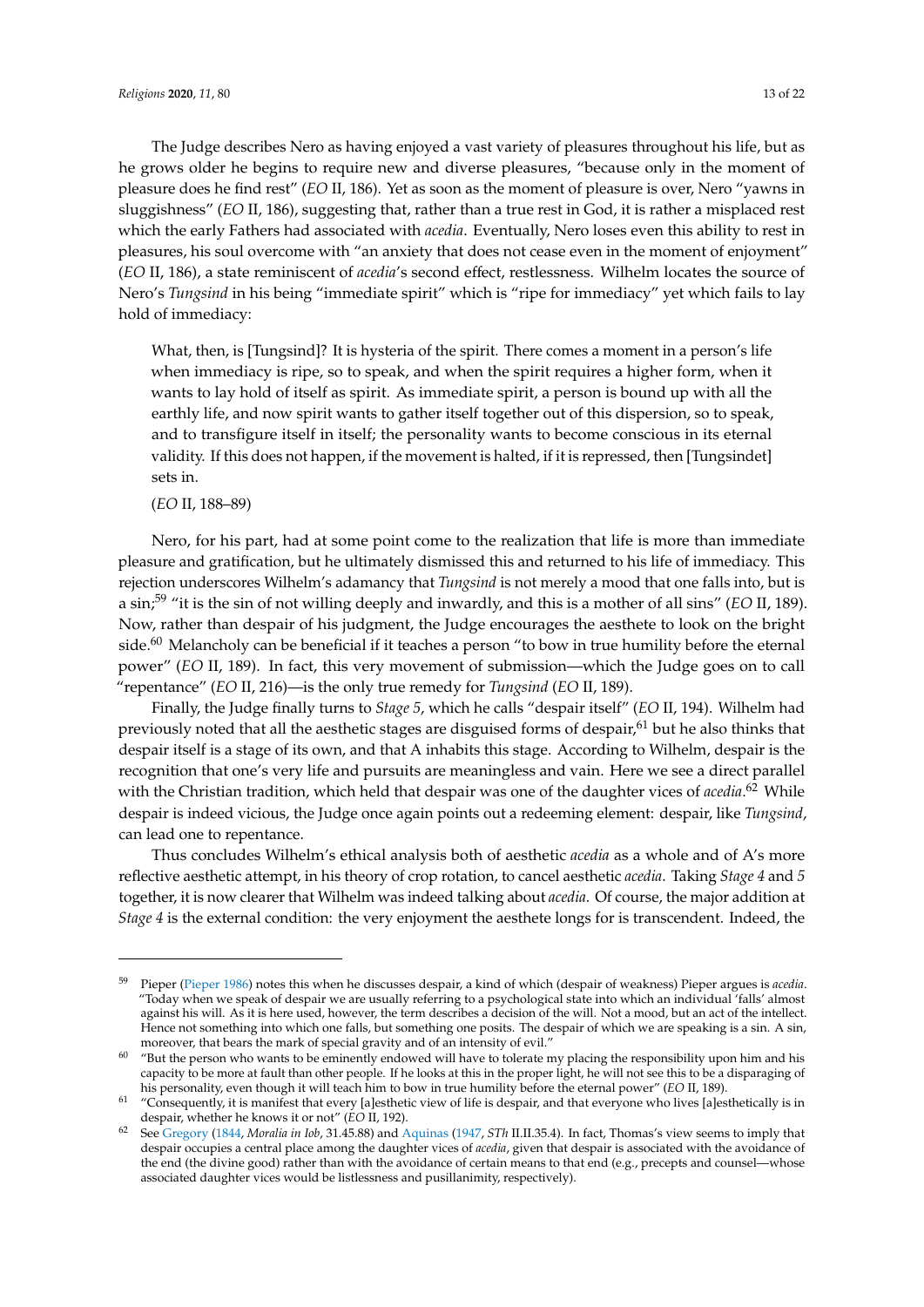The Judge describes Nero as having enjoyed a vast variety of pleasures throughout his life, but as he grows older he begins to require new and diverse pleasures, "because only in the moment of pleasure does he find rest" (*EO* II, 186). Yet as soon as the moment of pleasure is over, Nero "yawns in sluggishness" (*EO* II, 186), suggesting that, rather than a true rest in God, it is rather a misplaced rest which the early Fathers had associated with *acedia*. Eventually, Nero loses even this ability to rest in pleasures, his soul overcome with "an anxiety that does not cease even in the moment of enjoyment" (*EO* II, 186), a state reminiscent of *acedia*'s second effect, restlessness. Wilhelm locates the source of Nero's *Tungsind* in his being "immediate spirit" which is "ripe for immediacy" yet which fails to lay hold of immediacy:

What, then, is [Tungsind]? It is hysteria of the spirit. There comes a moment in a person's life when immediacy is ripe, so to speak, and when the spirit requires a higher form, when it wants to lay hold of itself as spirit. As immediate spirit, a person is bound up with all the earthly life, and now spirit wants to gather itself together out of this dispersion, so to speak, and to transfigure itself in itself; the personality wants to become conscious in its eternal validity. If this does not happen, if the movement is halted, if it is repressed, then [Tungsindet] sets in.

## (*EO* II, 188–89)

Nero, for his part, had at some point come to the realization that life is more than immediate pleasure and gratification, but he ultimately dismissed this and returned to his life of immediacy. This rejection underscores Wilhelm's adamancy that *Tungsind* is not merely a mood that one falls into, but is a sin;<sup>59</sup> "it is the sin of not willing deeply and inwardly, and this is a mother of all sins" (*EO* II, 189). Now, rather than despair of his judgment, the Judge encourages the aesthete to look on the bright side. $60$  Melancholy can be beneficial if it teaches a person "to bow in true humility before the eternal power" (*EO* II, 189). In fact, this very movement of submission—which the Judge goes on to call "repentance" (*EO* II, 216)—is the only true remedy for *Tungsind* (*EO* II, 189).

Finally, the Judge finally turns to *Stage 5*, which he calls "despair itself" (*EO* II, 194). Wilhelm had previously noted that all the aesthetic stages are disguised forms of despair,<sup>61</sup> but he also thinks that despair itself is a stage of its own, and that A inhabits this stage. According to Wilhelm, despair is the recognition that one's very life and pursuits are meaningless and vain. Here we see a direct parallel with the Christian tradition, which held that despair was one of the daughter vices of *acedia*. <sup>62</sup> While despair is indeed vicious, the Judge once again points out a redeeming element: despair, like *Tungsind*, can lead one to repentance.

Thus concludes Wilhelm's ethical analysis both of aesthetic *acedia* as a whole and of A's more reflective aesthetic attempt, in his theory of crop rotation, to cancel aesthetic *acedia*. Taking *Stage 4* and *5* together, it is now clearer that Wilhelm was indeed talking about *acedia*. Of course, the major addition at *Stage 4* is the external condition: the very enjoyment the aesthete longs for is transcendent. Indeed, the

<sup>59</sup> Pieper [\(Pieper](#page-21-1) [1986\)](#page-21-1) notes this when he discusses despair, a kind of which (despair of weakness) Pieper argues is *acedia*. "Today when we speak of despair we are usually referring to a psychological state into which an individual 'falls' almost against his will. As it is here used, however, the term describes a decision of the will. Not a mood, but an act of the intellect. Hence not something into which one falls, but something one posits. The despair of which we are speaking is a sin. A sin, moreover, that bears the mark of special gravity and of an intensity of evil."

<sup>60</sup> "But the person who wants to be eminently endowed will have to tolerate my placing the responsibility upon him and his capacity to be more at fault than other people. If he looks at this in the proper light, he will not see this to be a disparaging of his personality, even though it will teach him to bow in true humility before the eternal power" (*EO* II, 189).

 $61$  "Consequently, it is manifest that every [a]esthetic view of life is despair, and that everyone who lives [a]esthetically is in despair, whether he knows it or not" (*EO* II, 192).

<sup>62</sup> See [Gregory](#page-20-18) [\(1844,](#page-20-18) *Moralia in Iob*, 31.45.88) and [Aquinas](#page-20-12) [\(1947,](#page-20-12) *STh* II.II.35.4). In fact, Thomas's view seems to imply that despair occupies a central place among the daughter vices of *acedia*, given that despair is associated with the avoidance of the end (the divine good) rather than with the avoidance of certain means to that end (e.g., precepts and counsel—whose associated daughter vices would be listlessness and pusillanimity, respectively).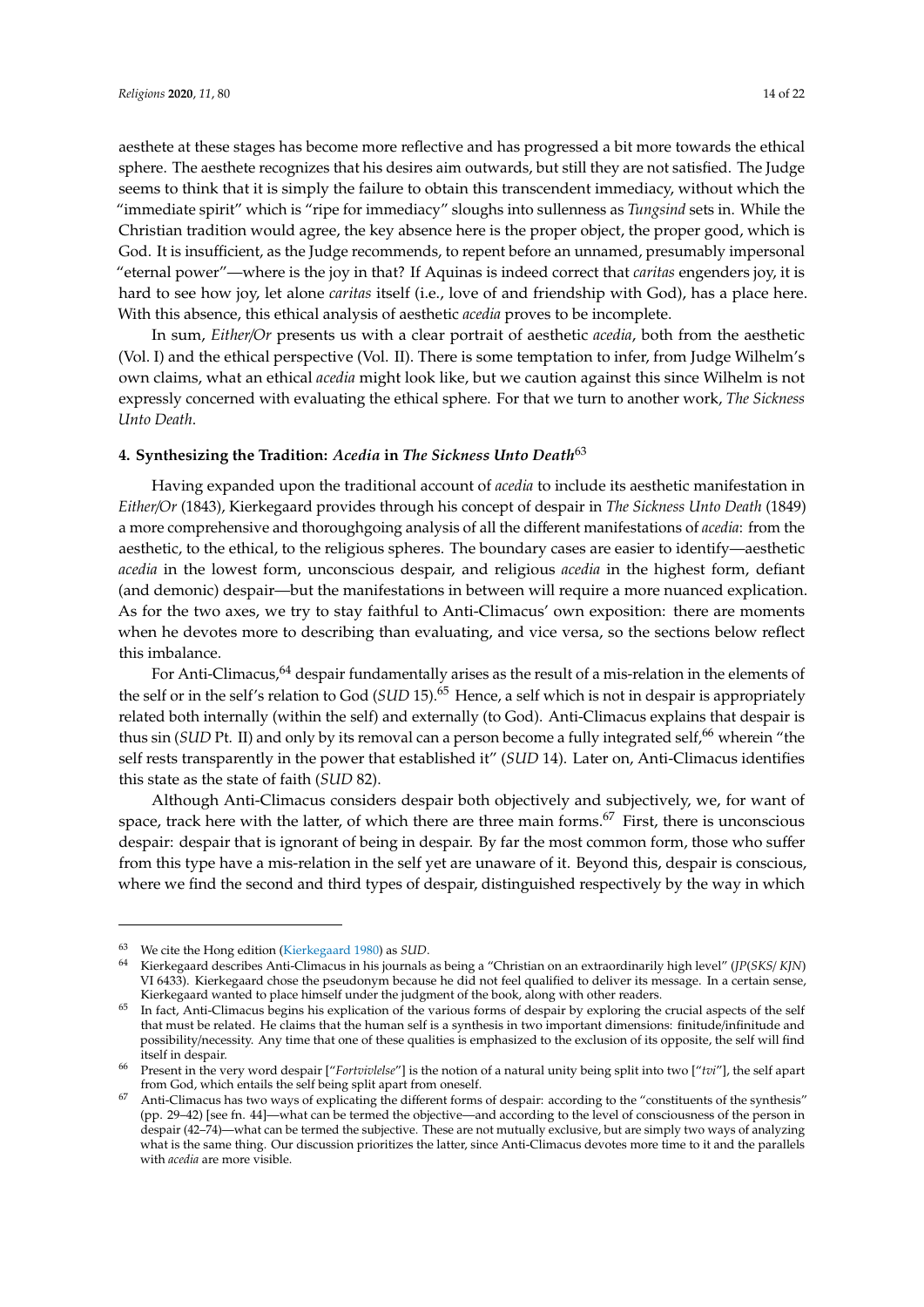aesthete at these stages has become more reflective and has progressed a bit more towards the ethical sphere. The aesthete recognizes that his desires aim outwards, but still they are not satisfied. The Judge seems to think that it is simply the failure to obtain this transcendent immediacy, without which the "immediate spirit" which is "ripe for immediacy" sloughs into sullenness as *Tungsind* sets in. While the Christian tradition would agree, the key absence here is the proper object, the proper good, which is God. It is insufficient, as the Judge recommends, to repent before an unnamed, presumably impersonal "eternal power"—where is the joy in that? If Aquinas is indeed correct that *caritas* engenders joy, it is hard to see how joy, let alone *caritas* itself (i.e., love of and friendship with God), has a place here. With this absence, this ethical analysis of aesthetic *acedia* proves to be incomplete.

In sum, *Either*/*Or* presents us with a clear portrait of aesthetic *acedia*, both from the aesthetic (Vol. I) and the ethical perspective (Vol. II). There is some temptation to infer, from Judge Wilhelm's own claims, what an ethical *acedia* might look like, but we caution against this since Wilhelm is not expressly concerned with evaluating the ethical sphere. For that we turn to another work, *The Sickness Unto Death*.

## <span id="page-13-0"></span>**4. Synthesizing the Tradition:** *Acedia* **in** *The Sickness Unto Death*<sup>63</sup>

Having expanded upon the traditional account of *acedia* to include its aesthetic manifestation in *Either*/*Or* (1843), Kierkegaard provides through his concept of despair in *The Sickness Unto Death* (1849) a more comprehensive and thoroughgoing analysis of all the different manifestations of *acedia*: from the aesthetic, to the ethical, to the religious spheres. The boundary cases are easier to identify—aesthetic *acedia* in the lowest form, unconscious despair, and religious *acedia* in the highest form, defiant (and demonic) despair—but the manifestations in between will require a more nuanced explication. As for the two axes, we try to stay faithful to Anti-Climacus' own exposition: there are moments when he devotes more to describing than evaluating, and vice versa, so the sections below reflect this imbalance.

For Anti-Climacus,<sup>64</sup> despair fundamentally arises as the result of a mis-relation in the elements of the self or in the self's relation to God (*SUD* 15).<sup>65</sup> Hence, a self which is not in despair is appropriately related both internally (within the self) and externally (to God). Anti-Climacus explains that despair is thus sin (*SUD* Pt. II) and only by its removal can a person become a fully integrated self,<sup>66</sup> wherein "the self rests transparently in the power that established it" (*SUD* 14). Later on, Anti-Climacus identifies this state as the state of faith (*SUD* 82).

Although Anti-Climacus considers despair both objectively and subjectively, we, for want of space, track here with the latter, of which there are three main forms. $67$  First, there is unconscious despair: despair that is ignorant of being in despair. By far the most common form, those who suffer from this type have a mis-relation in the self yet are unaware of it. Beyond this, despair is conscious, where we find the second and third types of despair, distinguished respectively by the way in which

<sup>63</sup> We cite the Hong edition [\(Kierkegaard](#page-20-9) [1980\)](#page-20-9) as *SUD*.

<sup>64</sup> Kierkegaard describes Anti-Climacus in his journals as being a "Christian on an extraordinarily high level" (*JP*(*SKS*/ *KJN*) VI 6433). Kierkegaard chose the pseudonym because he did not feel qualified to deliver its message. In a certain sense, Kierkegaard wanted to place himself under the judgment of the book, along with other readers.

<sup>&</sup>lt;sup>65</sup> In fact, Anti-Climacus begins his explication of the various forms of despair by exploring the crucial aspects of the self that must be related. He claims that the human self is a synthesis in two important dimensions: finitude/infinitude and possibility/necessity. Any time that one of these qualities is emphasized to the exclusion of its opposite, the self will find itself in despair.

<sup>66</sup> Present in the very word despair ["*Fortvivlelse*"] is the notion of a natural unity being split into two ["*tvi*"], the self apart from God, which entails the self being split apart from oneself.

<sup>67</sup> Anti-Climacus has two ways of explicating the different forms of despair: according to the "constituents of the synthesis" (pp. 29–42) [see fn. 44]—what can be termed the objective—and according to the level of consciousness of the person in despair (42–74)—what can be termed the subjective. These are not mutually exclusive, but are simply two ways of analyzing what is the same thing. Our discussion prioritizes the latter, since Anti-Climacus devotes more time to it and the parallels with *acedia* are more visible.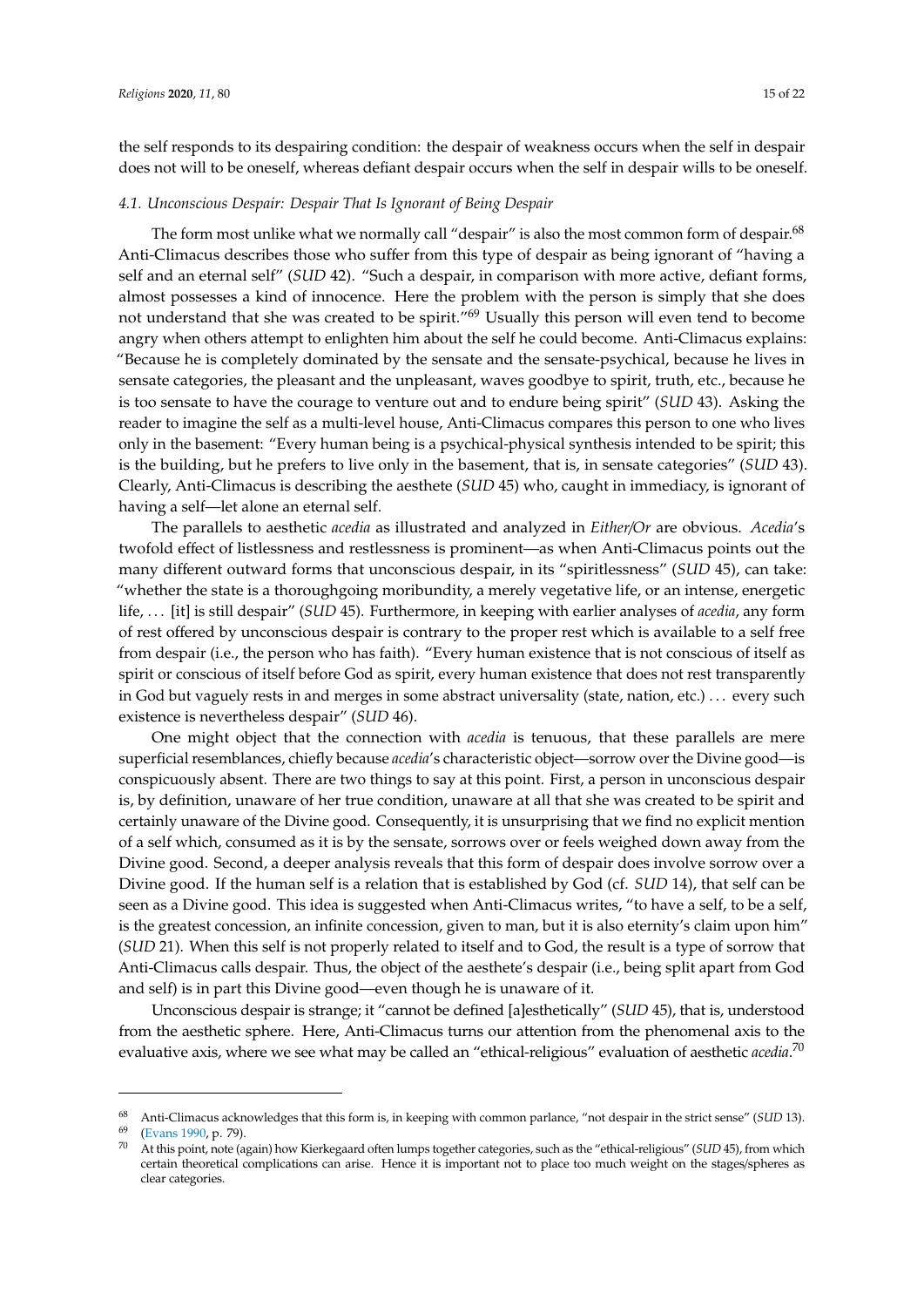the self responds to its despairing condition: the despair of weakness occurs when the self in despair does not will to be oneself, whereas defiant despair occurs when the self in despair wills to be oneself.

#### *4.1. Unconscious Despair: Despair That Is Ignorant of Being Despair*

The form most unlike what we normally call "despair" is also the most common form of despair.<sup>68</sup> Anti-Climacus describes those who suffer from this type of despair as being ignorant of "having a self and an eternal self" (*SUD* 42). "Such a despair, in comparison with more active, defiant forms, almost possesses a kind of innocence. Here the problem with the person is simply that she does not understand that she was created to be spirit."<sup>69</sup> Usually this person will even tend to become angry when others attempt to enlighten him about the self he could become. Anti-Climacus explains: "Because he is completely dominated by the sensate and the sensate-psychical, because he lives in sensate categories, the pleasant and the unpleasant, waves goodbye to spirit, truth, etc., because he is too sensate to have the courage to venture out and to endure being spirit" (*SUD* 43). Asking the reader to imagine the self as a multi-level house, Anti-Climacus compares this person to one who lives only in the basement: "Every human being is a psychical-physical synthesis intended to be spirit; this is the building, but he prefers to live only in the basement, that is, in sensate categories" (*SUD* 43). Clearly, Anti-Climacus is describing the aesthete (*SUD* 45) who, caught in immediacy, is ignorant of having a self—let alone an eternal self.

The parallels to aesthetic *acedia* as illustrated and analyzed in *Either*/*Or* are obvious. *Acedia*'s twofold effect of listlessness and restlessness is prominent—as when Anti-Climacus points out the many different outward forms that unconscious despair, in its "spiritlessness" (*SUD* 45), can take: "whether the state is a thoroughgoing moribundity, a merely vegetative life, or an intense, energetic life, . . . [it] is still despair" (*SUD* 45). Furthermore, in keeping with earlier analyses of *acedia*, any form of rest offered by unconscious despair is contrary to the proper rest which is available to a self free from despair (i.e., the person who has faith). "Every human existence that is not conscious of itself as spirit or conscious of itself before God as spirit, every human existence that does not rest transparently in God but vaguely rests in and merges in some abstract universality (state, nation, etc.) . . . every such existence is nevertheless despair" (*SUD* 46).

One might object that the connection with *acedia* is tenuous, that these parallels are mere superficial resemblances, chiefly because *acedia*'s characteristic object—sorrow over the Divine good—is conspicuously absent. There are two things to say at this point. First, a person in unconscious despair is, by definition, unaware of her true condition, unaware at all that she was created to be spirit and certainly unaware of the Divine good. Consequently, it is unsurprising that we find no explicit mention of a self which, consumed as it is by the sensate, sorrows over or feels weighed down away from the Divine good. Second, a deeper analysis reveals that this form of despair does involve sorrow over a Divine good. If the human self is a relation that is established by God (cf. *SUD* 14), that self can be seen as a Divine good. This idea is suggested when Anti-Climacus writes, "to have a self, to be a self, is the greatest concession, an infinite concession, given to man, but it is also eternity's claim upon him" (*SUD* 21). When this self is not properly related to itself and to God, the result is a type of sorrow that Anti-Climacus calls despair. Thus, the object of the aesthete's despair (i.e., being split apart from God and self) is in part this Divine good—even though he is unaware of it.

Unconscious despair is strange; it "cannot be defined [a]esthetically" (*SUD* 45), that is, understood from the aesthetic sphere. Here, Anti-Climacus turns our attention from the phenomenal axis to the evaluative axis, where we see what may be called an "ethical-religious" evaluation of aesthetic *acedia*. 70

<sup>&</sup>lt;sup>68</sup> Anti-Climacus acknowledges that this form is, in keeping with common parlance, "not despair in the strict sense" (*SUD* 13).

[<sup>\(</sup>Evans](#page-20-19) [1990,](#page-20-19) p. 79).

<sup>70</sup> At this point, note (again) how Kierkegaard often lumps together categories, such as the "ethical-religious" (*SUD* 45), from which certain theoretical complications can arise. Hence it is important not to place too much weight on the stages/spheres as clear categories.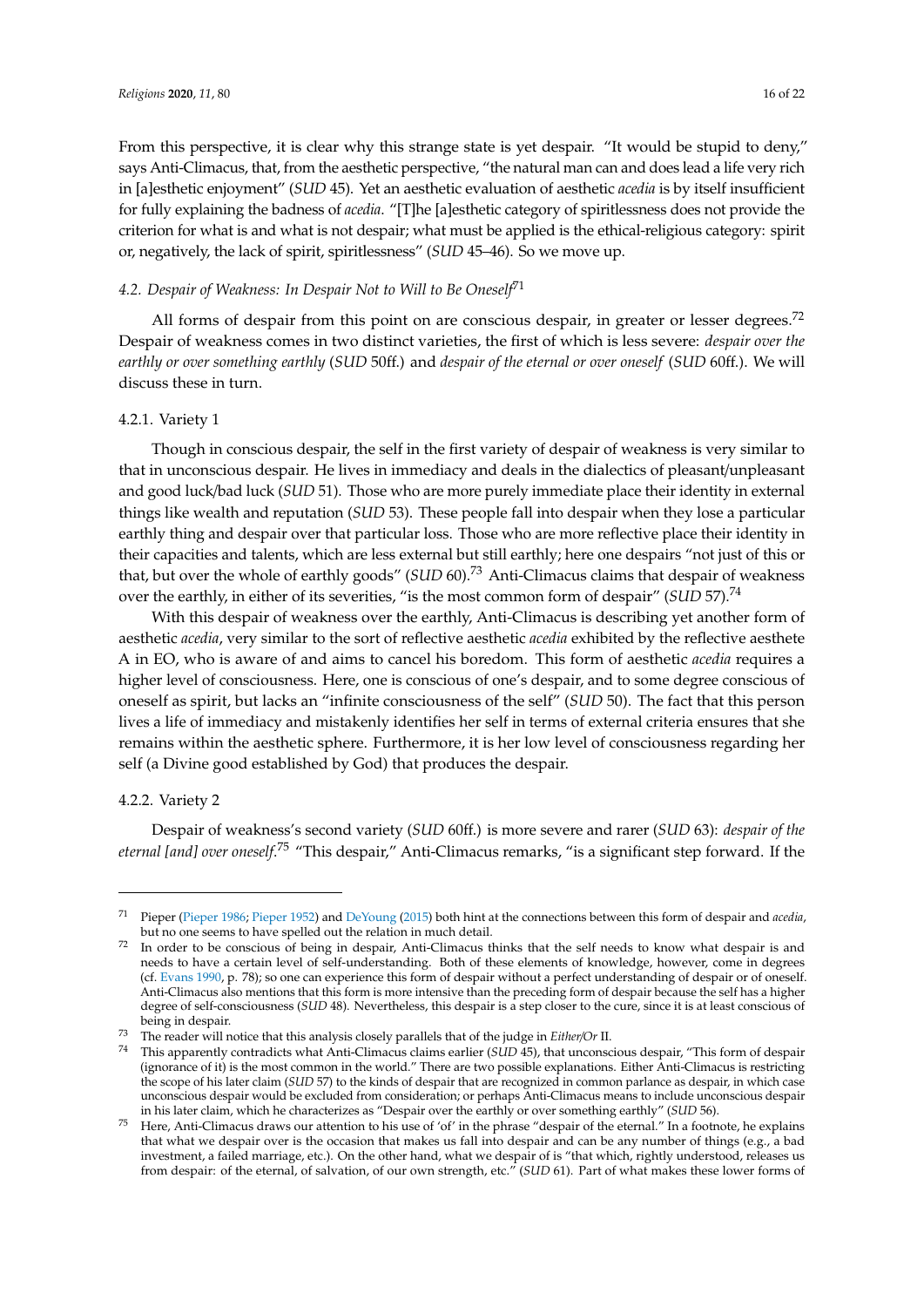From this perspective, it is clear why this strange state is yet despair. "It would be stupid to deny," says Anti-Climacus, that, from the aesthetic perspective, "the natural man can and does lead a life very rich in [a]esthetic enjoyment" (*SUD* 45). Yet an aesthetic evaluation of aesthetic *acedia* is by itself insufficient for fully explaining the badness of *acedia*. "[T]he [a]esthetic category of spiritlessness does not provide the criterion for what is and what is not despair; what must be applied is the ethical-religious category: spirit or, negatively, the lack of spirit, spiritlessness" (*SUD* 45–46). So we move up.

## *4.2. Despair of Weakness: In Despair Not to Will to Be Oneself*<sup>71</sup>

All forms of despair from this point on are conscious despair, in greater or lesser degrees.<sup>72</sup> Despair of weakness comes in two distinct varieties, the first of which is less severe: *despair over the earthly or over something earthly* (*SUD* 50ff.) and *despair of the eternal or over oneself* (*SUD* 60ff.). We will discuss these in turn.

## 4.2.1. Variety 1

Though in conscious despair, the self in the first variety of despair of weakness is very similar to that in unconscious despair. He lives in immediacy and deals in the dialectics of pleasant/unpleasant and good luck/bad luck (*SUD* 51). Those who are more purely immediate place their identity in external things like wealth and reputation (*SUD* 53). These people fall into despair when they lose a particular earthly thing and despair over that particular loss. Those who are more reflective place their identity in their capacities and talents, which are less external but still earthly; here one despairs "not just of this or that, but over the whole of earthly goods" (*SUD* 60).<sup>73</sup> Anti-Climacus claims that despair of weakness over the earthly, in either of its severities, "is the most common form of despair" (*SUD* 57).<sup>74</sup>

With this despair of weakness over the earthly, Anti-Climacus is describing yet another form of aesthetic *acedia*, very similar to the sort of reflective aesthetic *acedia* exhibited by the reflective aesthete A in EO, who is aware of and aims to cancel his boredom. This form of aesthetic *acedia* requires a higher level of consciousness. Here, one is conscious of one's despair, and to some degree conscious of oneself as spirit, but lacks an "infinite consciousness of the self" (*SUD* 50). The fact that this person lives a life of immediacy and mistakenly identifies her self in terms of external criteria ensures that she remains within the aesthetic sphere. Furthermore, it is her low level of consciousness regarding her self (a Divine good established by God) that produces the despair.

#### 4.2.2. Variety 2

Despair of weakness's second variety (*SUD* 60ff.) is more severe and rarer (*SUD* 63): *despair of the eternal [and] over oneself*. <sup>75</sup> "This despair," Anti-Climacus remarks, "is a significant step forward. If the

<sup>71</sup> Pieper [\(Pieper](#page-21-1) [1986;](#page-21-1) [Pieper](#page-21-2) [1952\)](#page-21-2) and [DeYoung](#page-20-5) [\(2015\)](#page-20-5) both hint at the connections between this form of despair and *acedia*, but no one seems to have spelled out the relation in much detail.

<sup>72</sup> In order to be conscious of being in despair, Anti-Climacus thinks that the self needs to know what despair is and needs to have a certain level of self-understanding. Both of these elements of knowledge, however, come in degrees (cf. [Evans](#page-20-19) [1990,](#page-20-19) p. 78); so one can experience this form of despair without a perfect understanding of despair or of oneself. Anti-Climacus also mentions that this form is more intensive than the preceding form of despair because the self has a higher degree of self-consciousness (*SUD* 48). Nevertheless, this despair is a step closer to the cure, since it is at least conscious of being in despair.

<sup>73</sup> The reader will notice that this analysis closely parallels that of the judge in *Either*/*Or* II.

<sup>74</sup> This apparently contradicts what Anti-Climacus claims earlier (*SUD* 45), that unconscious despair, "This form of despair (ignorance of it) is the most common in the world." There are two possible explanations. Either Anti-Climacus is restricting the scope of his later claim (*SUD* 57) to the kinds of despair that are recognized in common parlance as despair, in which case unconscious despair would be excluded from consideration; or perhaps Anti-Climacus means to include unconscious despair in his later claim, which he characterizes as "Despair over the earthly or over something earthly" (*SUD* 56).

Here, Anti-Climacus draws our attention to his use of 'of' in the phrase "despair of the eternal." In a footnote, he explains that what we despair over is the occasion that makes us fall into despair and can be any number of things (e.g., a bad investment, a failed marriage, etc.). On the other hand, what we despair of is "that which, rightly understood, releases us from despair: of the eternal, of salvation, of our own strength, etc." (*SUD* 61). Part of what makes these lower forms of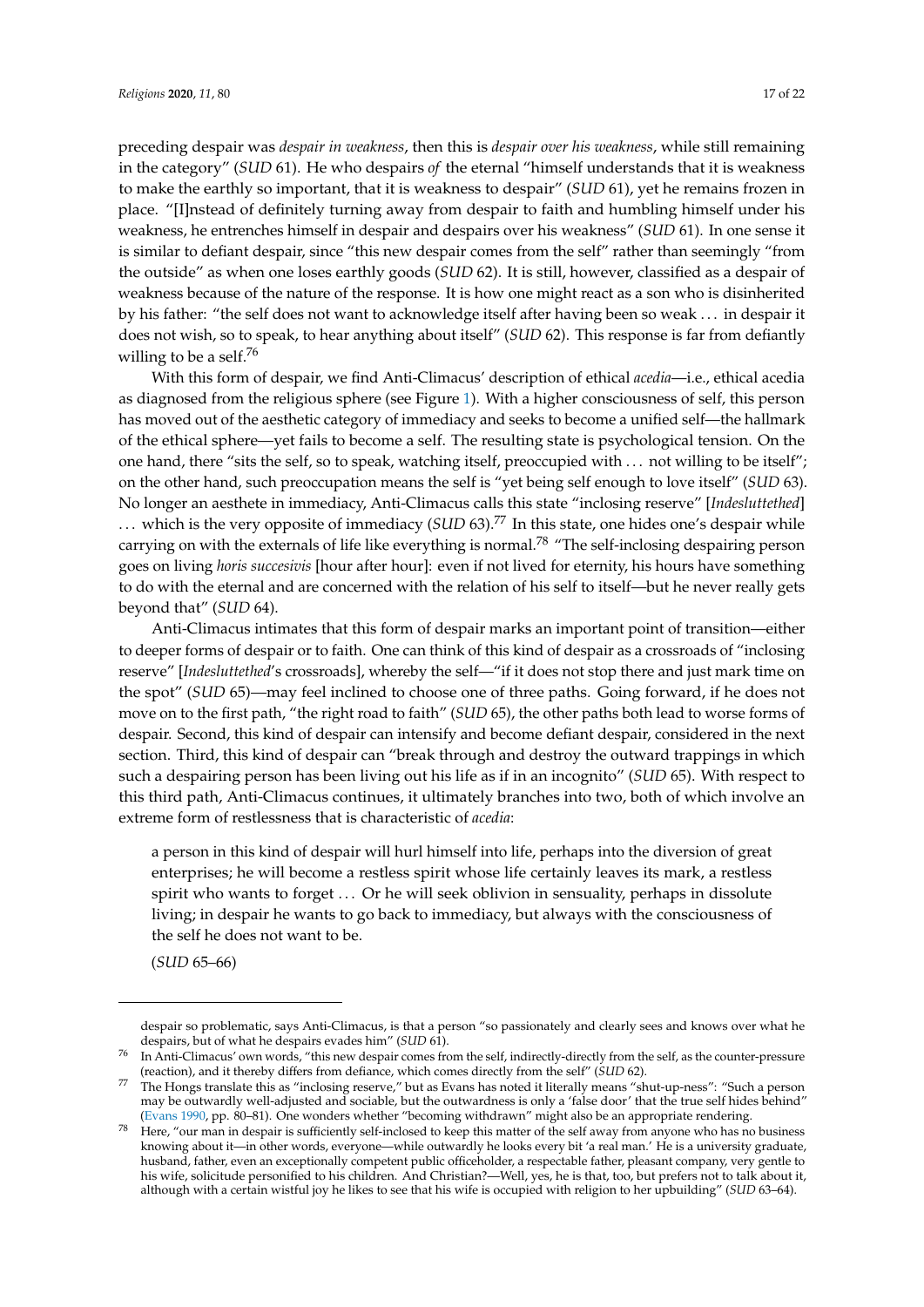preceding despair was *despair in weakness*, then this is *despair over his weakness*, while still remaining in the category" (*SUD* 61). He who despairs *of* the eternal "himself understands that it is weakness to make the earthly so important, that it is weakness to despair" (*SUD* 61), yet he remains frozen in place. "[I]nstead of definitely turning away from despair to faith and humbling himself under his weakness, he entrenches himself in despair and despairs over his weakness" (*SUD* 61). In one sense it is similar to defiant despair, since "this new despair comes from the self" rather than seemingly "from the outside" as when one loses earthly goods (*SUD* 62). It is still, however, classified as a despair of weakness because of the nature of the response. It is how one might react as a son who is disinherited by his father: "the self does not want to acknowledge itself after having been so weak . . . in despair it does not wish, so to speak, to hear anything about itself" (*SUD* 62). This response is far from defiantly willing to be a self.<sup>76</sup>

With this form of despair, we find Anti-Climacus' description of ethical *acedia*—i.e., ethical acedia as diagnosed from the religious sphere (see Figure [1\)](#page-2-0). With a higher consciousness of self, this person has moved out of the aesthetic category of immediacy and seeks to become a unified self—the hallmark of the ethical sphere—yet fails to become a self. The resulting state is psychological tension. On the one hand, there "sits the self, so to speak, watching itself, preoccupied with . . . not willing to be itself"; on the other hand, such preoccupation means the self is "yet being self enough to love itself" (*SUD* 63). No longer an aesthete in immediacy, Anti-Climacus calls this state "inclosing reserve" [*Indesluttethed*] . . . which is the very opposite of immediacy (*SUD* 63).<sup>77</sup> In this state, one hides one's despair while carrying on with the externals of life like everything is normal.<sup>78</sup> "The self-inclosing despairing person goes on living *horis succesivis* [hour after hour]: even if not lived for eternity, his hours have something to do with the eternal and are concerned with the relation of his self to itself—but he never really gets beyond that" (*SUD* 64).

Anti-Climacus intimates that this form of despair marks an important point of transition—either to deeper forms of despair or to faith. One can think of this kind of despair as a crossroads of "inclosing reserve" [*Indesluttethed*'s crossroads], whereby the self—"if it does not stop there and just mark time on the spot" (*SUD* 65)—may feel inclined to choose one of three paths. Going forward, if he does not move on to the first path, "the right road to faith" (*SUD* 65), the other paths both lead to worse forms of despair. Second, this kind of despair can intensify and become defiant despair, considered in the next section. Third, this kind of despair can "break through and destroy the outward trappings in which such a despairing person has been living out his life as if in an incognito" (*SUD* 65). With respect to this third path, Anti-Climacus continues, it ultimately branches into two, both of which involve an extreme form of restlessness that is characteristic of *acedia*:

a person in this kind of despair will hurl himself into life, perhaps into the diversion of great enterprises; he will become a restless spirit whose life certainly leaves its mark, a restless spirit who wants to forget . . . Or he will seek oblivion in sensuality, perhaps in dissolute living; in despair he wants to go back to immediacy, but always with the consciousness of the self he does not want to be.

(*SUD* 65–66)

despair so problematic, says Anti-Climacus, is that a person "so passionately and clearly sees and knows over what he despairs, but of what he despairs evades him" (*SUD* 61).

 $76$  In Anti-Climacus' own words, "this new despair comes from the self, indirectly-directly from the self, as the counter-pressure (reaction), and it thereby differs from defiance, which comes directly from the self" (*SUD* 62).

<sup>77</sup> The Hongs translate this as "inclosing reserve," but as Evans has noted it literally means "shut-up-ness": "Such a person may be outwardly well-adjusted and sociable, but the outwardness is only a 'false door' that the true self hides behind" [\(Evans](#page-20-19) [1990,](#page-20-19) pp. 80–81). One wonders whether "becoming withdrawn" might also be an appropriate rendering.

<sup>78</sup> Here, "our man in despair is sufficiently self-inclosed to keep this matter of the self away from anyone who has no business knowing about it—in other words, everyone—while outwardly he looks every bit 'a real man.' He is a university graduate, husband, father, even an exceptionally competent public officeholder, a respectable father, pleasant company, very gentle to his wife, solicitude personified to his children. And Christian?—Well, yes, he is that, too, but prefers not to talk about it, although with a certain wistful joy he likes to see that his wife is occupied with religion to her upbuilding" (*SUD* 63–64).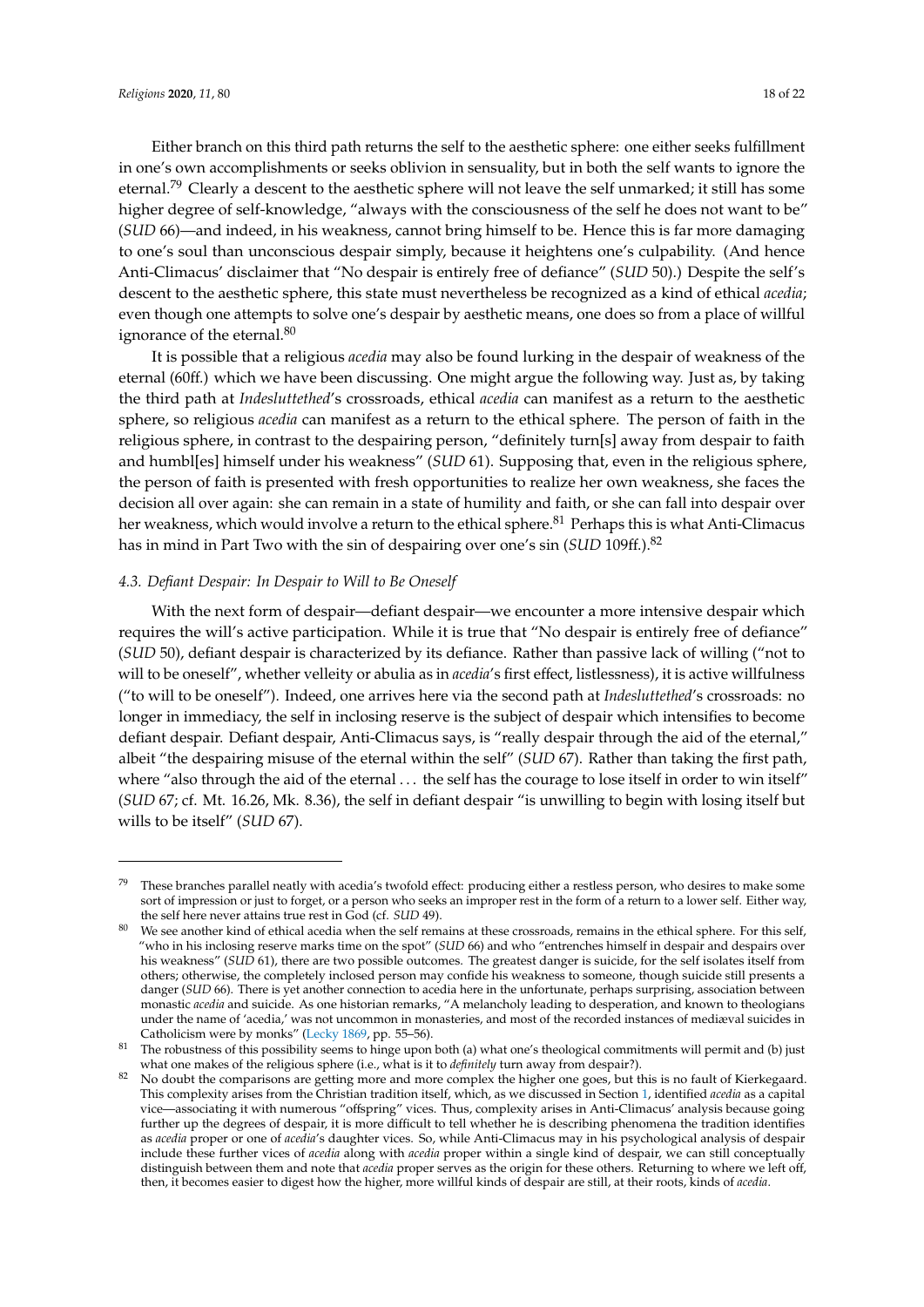Either branch on this third path returns the self to the aesthetic sphere: one either seeks fulfillment in one's own accomplishments or seeks oblivion in sensuality, but in both the self wants to ignore the eternal.<sup>79</sup> Clearly a descent to the aesthetic sphere will not leave the self unmarked; it still has some higher degree of self-knowledge, "always with the consciousness of the self he does not want to be" (*SUD* 66)—and indeed, in his weakness, cannot bring himself to be. Hence this is far more damaging to one's soul than unconscious despair simply, because it heightens one's culpability. (And hence Anti-Climacus' disclaimer that "No despair is entirely free of defiance" (*SUD* 50).) Despite the self's descent to the aesthetic sphere, this state must nevertheless be recognized as a kind of ethical *acedia*; even though one attempts to solve one's despair by aesthetic means, one does so from a place of willful ignorance of the eternal.<sup>80</sup>

It is possible that a religious *acedia* may also be found lurking in the despair of weakness of the eternal (60ff.) which we have been discussing. One might argue the following way. Just as, by taking the third path at *Indesluttethed*'s crossroads, ethical *acedia* can manifest as a return to the aesthetic sphere, so religious *acedia* can manifest as a return to the ethical sphere. The person of faith in the religious sphere, in contrast to the despairing person, "definitely turn[s] away from despair to faith and humbl[es] himself under his weakness" (*SUD* 61). Supposing that, even in the religious sphere, the person of faith is presented with fresh opportunities to realize her own weakness, she faces the decision all over again: she can remain in a state of humility and faith, or she can fall into despair over her weakness, which would involve a return to the ethical sphere.<sup>81</sup> Perhaps this is what Anti-Climacus has in mind in Part Two with the sin of despairing over one's sin (*SUD* 109ff.).<sup>82</sup>

#### *4.3. Defiant Despair: In Despair to Will to Be Oneself*

With the next form of despair—defiant despair—we encounter a more intensive despair which requires the will's active participation. While it is true that "No despair is entirely free of defiance" (*SUD* 50), defiant despair is characterized by its defiance. Rather than passive lack of willing ("not to will to be oneself", whether velleity or abulia as in *acedia*'s first effect, listlessness), it is active willfulness ("to will to be oneself"). Indeed, one arrives here via the second path at *Indesluttethed*'s crossroads: no longer in immediacy, the self in inclosing reserve is the subject of despair which intensifies to become defiant despair. Defiant despair, Anti-Climacus says, is "really despair through the aid of the eternal," albeit "the despairing misuse of the eternal within the self" (*SUD* 67). Rather than taking the first path, where "also through the aid of the eternal ... the self has the courage to lose itself in order to win itself" (*SUD* 67; cf. Mt. 16.26, Mk. 8.36), the self in defiant despair "is unwilling to begin with losing itself but wills to be itself" (*SUD* 67).

These branches parallel neatly with acedia's twofold effect: producing either a restless person, who desires to make some sort of impression or just to forget, or a person who seeks an improper rest in the form of a return to a lower self. Either way, the self here never attains true rest in God (cf. *SUD* 49).

 $80$  We see another kind of ethical acedia when the self remains at these crossroads, remains in the ethical sphere. For this self, "who in his inclosing reserve marks time on the spot" (*SUD* 66) and who "entrenches himself in despair and despairs over his weakness" (*SUD* 61), there are two possible outcomes. The greatest danger is suicide, for the self isolates itself from others; otherwise, the completely inclosed person may confide his weakness to someone, though suicide still presents a danger (*SUD* 66). There is yet another connection to acedia here in the unfortunate, perhaps surprising, association between monastic *acedia* and suicide. As one historian remarks, "A melancholy leading to desperation, and known to theologians under the name of 'acedia,' was not uncommon in monasteries, and most of the recorded instances of mediæval suicides in Catholicism were by monks" [\(Lecky](#page-21-17) [1869,](#page-21-17) pp. 55–56).

<sup>&</sup>lt;sup>81</sup> The robustness of this possibility seems to hinge upon both (a) what one's theological commitments will permit and (b) just what one makes of the religious sphere (i.e., what is it to *definitely* turn away from despair?).

<sup>&</sup>lt;sup>82</sup> No doubt the comparisons are getting more and more complex the higher one goes, but this is no fault of Kierkegaard. This complexity arises from the Christian tradition itself, which, as we discussed in Section [1,](#page-0-0) identified *acedia* as a capital vice—associating it with numerous "offspring" vices. Thus, complexity arises in Anti-Climacus' analysis because going further up the degrees of despair, it is more difficult to tell whether he is describing phenomena the tradition identifies as *acedia* proper or one of *acedia*'s daughter vices. So, while Anti-Climacus may in his psychological analysis of despair include these further vices of *acedia* along with *acedia* proper within a single kind of despair, we can still conceptually distinguish between them and note that *acedia* proper serves as the origin for these others. Returning to where we left off, then, it becomes easier to digest how the higher, more willful kinds of despair are still, at their roots, kinds of *acedia*.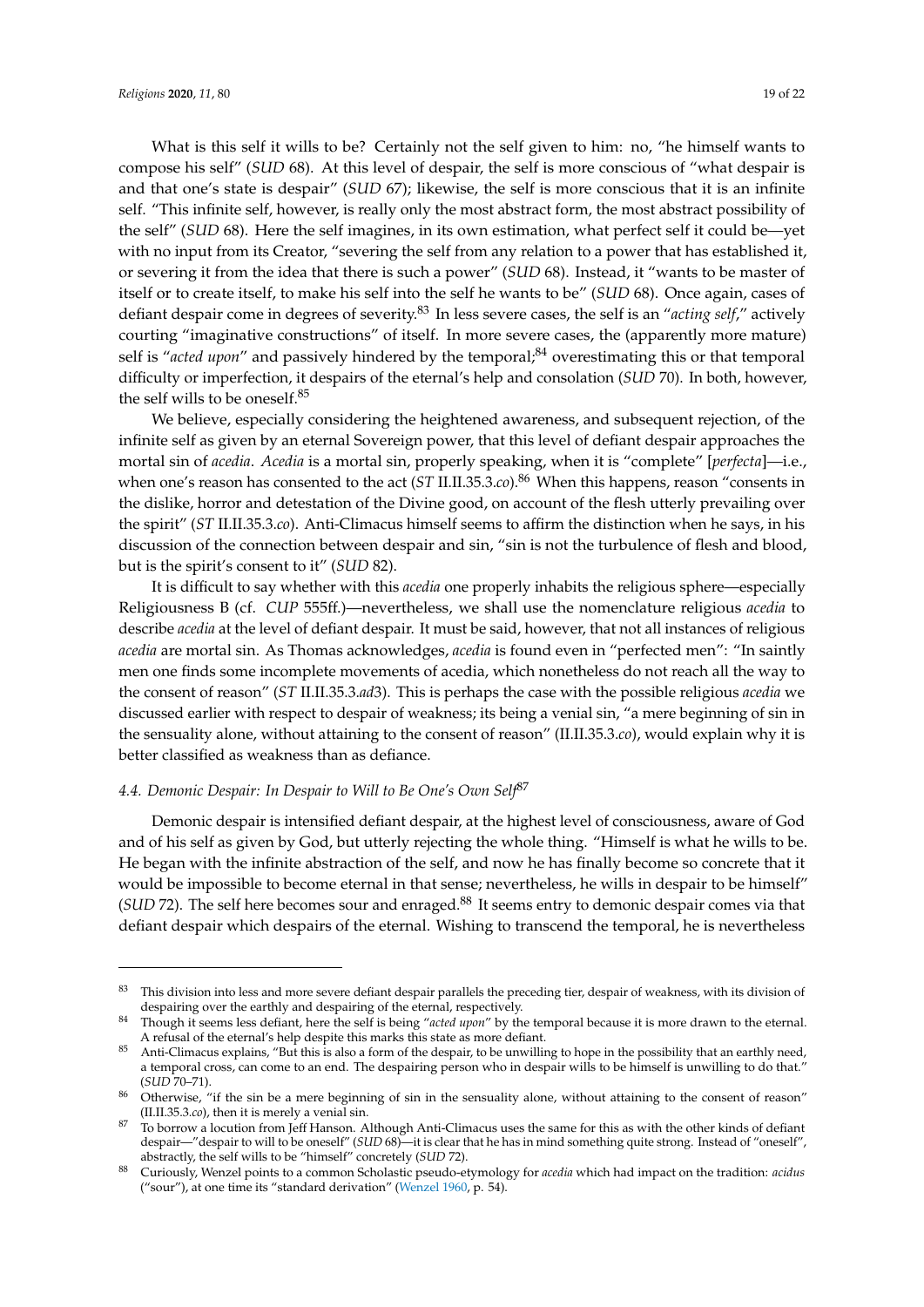What is this self it wills to be? Certainly not the self given to him: no, "he himself wants to compose his self" (*SUD* 68). At this level of despair, the self is more conscious of "what despair is and that one's state is despair" (*SUD* 67); likewise, the self is more conscious that it is an infinite self. "This infinite self, however, is really only the most abstract form, the most abstract possibility of the self" (*SUD* 68). Here the self imagines, in its own estimation, what perfect self it could be—yet with no input from its Creator, "severing the self from any relation to a power that has established it, or severing it from the idea that there is such a power" (*SUD* 68). Instead, it "wants to be master of itself or to create itself, to make his self into the self he wants to be" (*SUD* 68). Once again, cases of defiant despair come in degrees of severity.<sup>83</sup> In less severe cases, the self is an "*acting self*," actively courting "imaginative constructions" of itself. In more severe cases, the (apparently more mature) self is "acted upon" and passively hindered by the temporal;<sup>84</sup> overestimating this or that temporal difficulty or imperfection, it despairs of the eternal's help and consolation (*SUD* 70). In both, however, the self wills to be oneself.<sup>85</sup>

We believe, especially considering the heightened awareness, and subsequent rejection, of the infinite self as given by an eternal Sovereign power, that this level of defiant despair approaches the mortal sin of *acedia*. *Acedia* is a mortal sin, properly speaking, when it is "complete" [*perfecta*]—i.e., when one's reason has consented to the act (*ST* II.II.35.3.*co*).<sup>86</sup> When this happens, reason "consents in the dislike, horror and detestation of the Divine good, on account of the flesh utterly prevailing over the spirit" (*ST* II.II.35.3.*co*). Anti-Climacus himself seems to affirm the distinction when he says, in his discussion of the connection between despair and sin, "sin is not the turbulence of flesh and blood, but is the spirit's consent to it" (*SUD* 82).

It is difficult to say whether with this *acedia* one properly inhabits the religious sphere—especially Religiousness B (cf. *CUP* 555ff.)—nevertheless, we shall use the nomenclature religious *acedia* to describe *acedia* at the level of defiant despair. It must be said, however, that not all instances of religious *acedia* are mortal sin. As Thomas acknowledges, *acedia* is found even in "perfected men": "In saintly men one finds some incomplete movements of acedia, which nonetheless do not reach all the way to the consent of reason" (*ST* II.II.35.3.*ad*3). This is perhaps the case with the possible religious *acedia* we discussed earlier with respect to despair of weakness; its being a venial sin, "a mere beginning of sin in the sensuality alone, without attaining to the consent of reason" (II.II.35.3.*co*), would explain why it is better classified as weakness than as defiance.

## *4.4. Demonic Despair: In Despair to Will to Be One's Own Self*<sup>87</sup>

Demonic despair is intensified defiant despair, at the highest level of consciousness, aware of God and of his self as given by God, but utterly rejecting the whole thing. "Himself is what he wills to be. He began with the infinite abstraction of the self, and now he has finally become so concrete that it would be impossible to become eternal in that sense; nevertheless, he wills in despair to be himself" (*SUD* 72). The self here becomes sour and enraged.<sup>88</sup> It seems entry to demonic despair comes via that defiant despair which despairs of the eternal. Wishing to transcend the temporal, he is nevertheless

This division into less and more severe defiant despair parallels the preceding tier, despair of weakness, with its division of despairing over the earthly and despairing of the eternal, respectively.

<sup>84</sup> Though it seems less defiant, here the self is being "*acted upon*" by the temporal because it is more drawn to the eternal. A refusal of the eternal's help despite this marks this state as more defiant.

<sup>&</sup>lt;sup>85</sup> Anti-Climacus explains, "But this is also a form of the despair, to be unwilling to hope in the possibility that an earthly need, a temporal cross, can come to an end. The despairing person who in despair wills to be himself is unwilling to do that." (*SUD* 70–71).

Otherwise, "if the sin be a mere beginning of sin in the sensuality alone, without attaining to the consent of reason" (II.II.35.3.*co*), then it is merely a venial sin.

<sup>87</sup> To borrow a locution from Jeff Hanson. Although Anti-Climacus uses the same for this as with the other kinds of defiant despair—"despair to will to be oneself" (*SUD* 68)—it is clear that he has in mind something quite strong. Instead of "oneself", abstractly, the self wills to be "himself" concretely (*SUD* 72).

<sup>88</sup> Curiously, Wenzel points to a common Scholastic pseudo-etymology for *acedia* which had impact on the tradition: *acidus* ("sour"), at one time its "standard derivation" [\(Wenzel](#page-21-3) [1960,](#page-21-3) p. 54).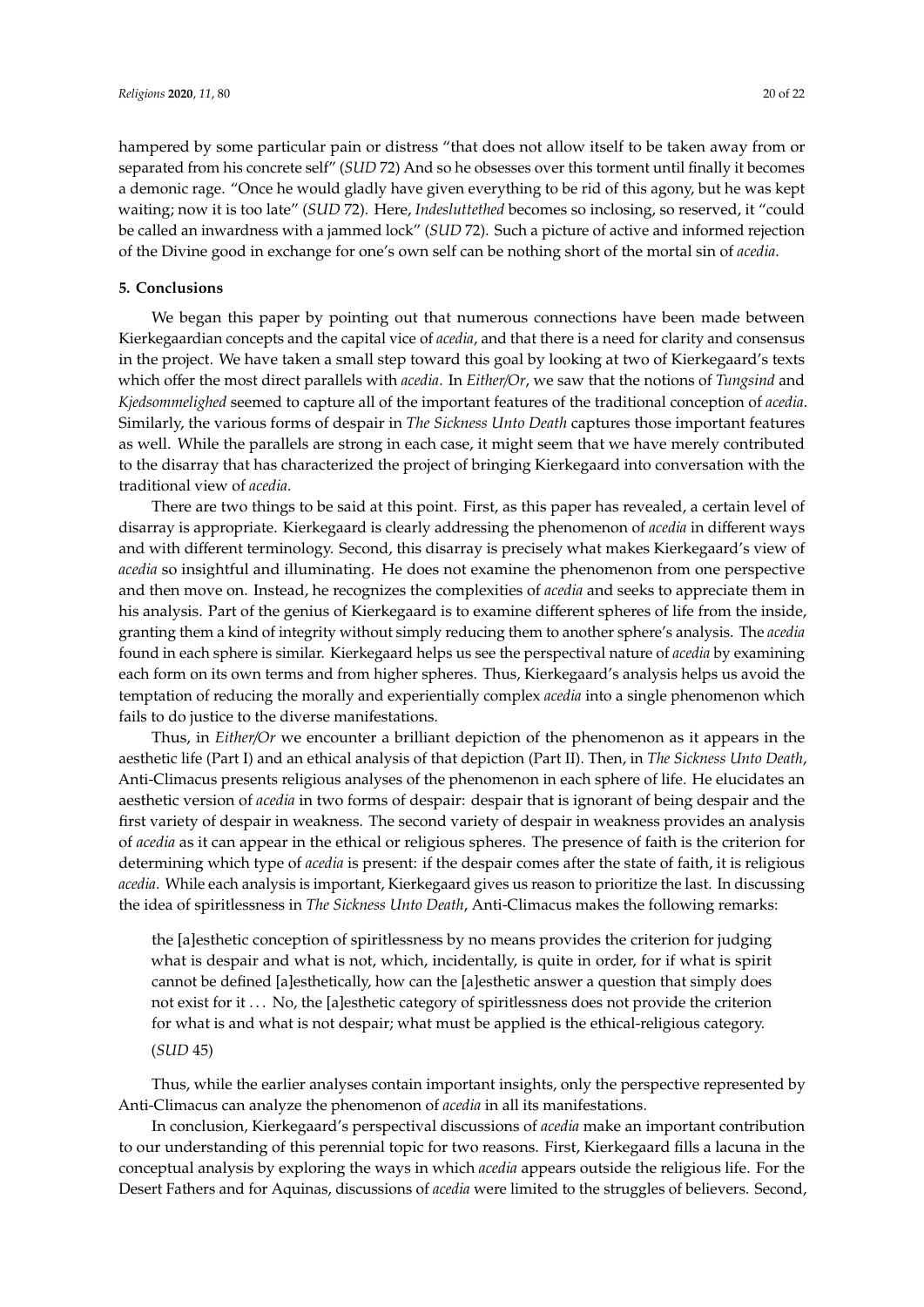hampered by some particular pain or distress "that does not allow itself to be taken away from or separated from his concrete self" (*SUD* 72) And so he obsesses over this torment until finally it becomes a demonic rage. "Once he would gladly have given everything to be rid of this agony, but he was kept waiting; now it is too late" (*SUD* 72). Here, *Indesluttethed* becomes so inclosing, so reserved, it "could be called an inwardness with a jammed lock" (*SUD* 72). Such a picture of active and informed rejection of the Divine good in exchange for one's own self can be nothing short of the mortal sin of *acedia*.

## <span id="page-19-0"></span>**5. Conclusions**

We began this paper by pointing out that numerous connections have been made between Kierkegaardian concepts and the capital vice of *acedia*, and that there is a need for clarity and consensus in the project. We have taken a small step toward this goal by looking at two of Kierkegaard's texts which offer the most direct parallels with *acedia*. In *Either*/*Or*, we saw that the notions of *Tungsind* and *Kjedsommelighed* seemed to capture all of the important features of the traditional conception of *acedia*. Similarly, the various forms of despair in *The Sickness Unto Death* captures those important features as well. While the parallels are strong in each case, it might seem that we have merely contributed to the disarray that has characterized the project of bringing Kierkegaard into conversation with the traditional view of *acedia*.

There are two things to be said at this point. First, as this paper has revealed, a certain level of disarray is appropriate. Kierkegaard is clearly addressing the phenomenon of *acedia* in different ways and with different terminology. Second, this disarray is precisely what makes Kierkegaard's view of *acedia* so insightful and illuminating. He does not examine the phenomenon from one perspective and then move on. Instead, he recognizes the complexities of *acedia* and seeks to appreciate them in his analysis. Part of the genius of Kierkegaard is to examine different spheres of life from the inside, granting them a kind of integrity without simply reducing them to another sphere's analysis. The *acedia* found in each sphere is similar. Kierkegaard helps us see the perspectival nature of *acedia* by examining each form on its own terms and from higher spheres. Thus, Kierkegaard's analysis helps us avoid the temptation of reducing the morally and experientially complex *acedia* into a single phenomenon which fails to do justice to the diverse manifestations.

Thus, in *Either*/*Or* we encounter a brilliant depiction of the phenomenon as it appears in the aesthetic life (Part I) and an ethical analysis of that depiction (Part II). Then, in *The Sickness Unto Death*, Anti-Climacus presents religious analyses of the phenomenon in each sphere of life. He elucidates an aesthetic version of *acedia* in two forms of despair: despair that is ignorant of being despair and the first variety of despair in weakness. The second variety of despair in weakness provides an analysis of *acedia* as it can appear in the ethical or religious spheres. The presence of faith is the criterion for determining which type of *acedia* is present: if the despair comes after the state of faith, it is religious *acedia*. While each analysis is important, Kierkegaard gives us reason to prioritize the last. In discussing the idea of spiritlessness in *The Sickness Unto Death*, Anti-Climacus makes the following remarks:

the [a]esthetic conception of spiritlessness by no means provides the criterion for judging what is despair and what is not, which, incidentally, is quite in order, for if what is spirit cannot be defined [a]esthetically, how can the [a]esthetic answer a question that simply does not exist for it . . . No, the [a]esthetic category of spiritlessness does not provide the criterion for what is and what is not despair; what must be applied is the ethical-religious category. (*SUD* 45)

Thus, while the earlier analyses contain important insights, only the perspective represented by Anti-Climacus can analyze the phenomenon of *acedia* in all its manifestations.

In conclusion, Kierkegaard's perspectival discussions of *acedia* make an important contribution to our understanding of this perennial topic for two reasons. First, Kierkegaard fills a lacuna in the conceptual analysis by exploring the ways in which *acedia* appears outside the religious life. For the Desert Fathers and for Aquinas, discussions of *acedia* were limited to the struggles of believers. Second,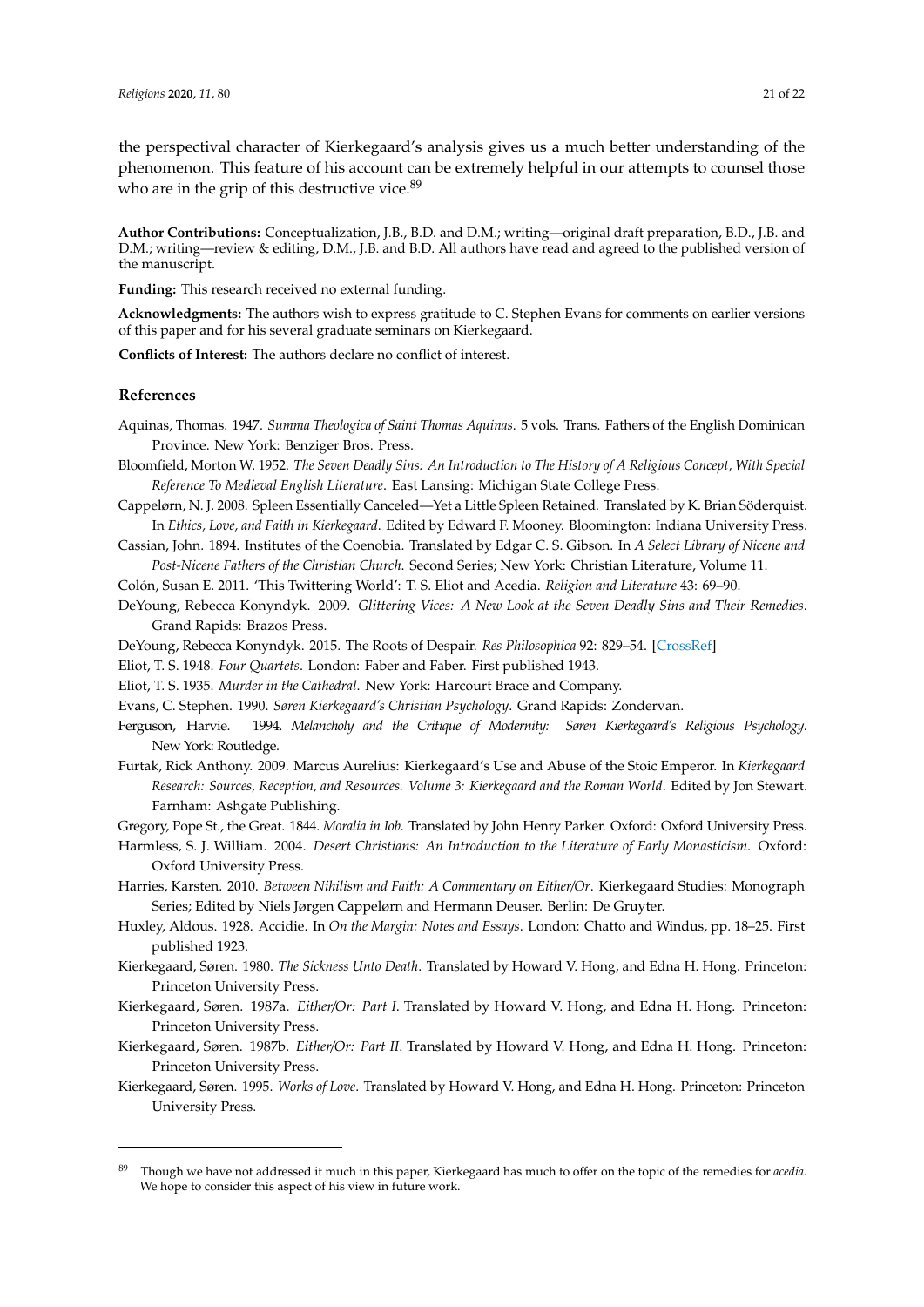the perspectival character of Kierkegaard's analysis gives us a much better understanding of the phenomenon. This feature of his account can be extremely helpful in our attempts to counsel those who are in the grip of this destructive vice.<sup>89</sup>

**Author Contributions:** Conceptualization, J.B., B.D. and D.M.; writing—original draft preparation, B.D., J.B. and D.M.; writing—review & editing, D.M., J.B. and B.D. All authors have read and agreed to the published version of the manuscript.

**Funding:** This research received no external funding.

**Acknowledgments:** The authors wish to express gratitude to C. Stephen Evans for comments on earlier versions of this paper and for his several graduate seminars on Kierkegaard.

**Conflicts of Interest:** The authors declare no conflict of interest.

#### **References**

- <span id="page-20-12"></span>Aquinas, Thomas. 1947. *Summa Theologica of Saint Thomas Aquinas*. 5 vols. Trans. Fathers of the English Dominican Province. New York: Benziger Bros. Press.
- <span id="page-20-13"></span>Bloomfield, Morton W. 1952. *The Seven Deadly Sins: An Introduction to The History of A Religious Concept, With Special Reference To Medieval English Literature*. East Lansing: Michigan State College Press.
- <span id="page-20-6"></span>Cappelørn, N. J. 2008. Spleen Essentially Canceled—Yet a Little Spleen Retained. Translated by K. Brian Söderquist. In *Ethics, Love, and Faith in Kierkegaard*. Edited by Edward F. Mooney. Bloomington: Indiana University Press.
- <span id="page-20-0"></span>Cassian, John. 1894. Institutes of the Coenobia. Translated by Edgar C. S. Gibson. In *A Select Library of Nicene and Post-Nicene Fathers of the Christian Church*. Second Series; New York: Christian Literature, Volume 11.
- <span id="page-20-2"></span>Colón, Susan E. 2011. 'This Twittering World': T. S. Eliot and Acedia. *Religion and Literature* 43: 69–90.
- <span id="page-20-10"></span>DeYoung, Rebecca Konyndyk. 2009. *Glittering Vices: A New Look at the Seven Deadly Sins and Their Remedies*. Grand Rapids: Brazos Press.
- <span id="page-20-5"></span>DeYoung, Rebecca Konyndyk. 2015. The Roots of Despair. *Res Philosophica* 92: 829–54. [\[CrossRef\]](http://dx.doi.org/10.11612/resphil.2015.92.4.2)

<span id="page-20-4"></span>Eliot, T. S. 1948. *Four Quartets*. London: Faber and Faber. First published 1943.

<span id="page-20-3"></span>Eliot, T. S. 1935. *Murder in the Cathedral*. New York: Harcourt Brace and Company.

<span id="page-20-19"></span>Evans, C. Stephen. 1990. *Søren Kierkegaard's Christian Psychology*. Grand Rapids: Zondervan.

- <span id="page-20-7"></span>Ferguson, Harvie. 1994. *Melancholy and the Critique of Modernity: Søren Kierkegaard's Religious Psychology*. New York: Routledge.
- <span id="page-20-16"></span>Furtak, Rick Anthony. 2009. Marcus Aurelius: Kierkegaard's Use and Abuse of the Stoic Emperor. In *Kierkegaard Research: Sources, Reception, and Resources. Volume 3: Kierkegaard and the Roman World*. Edited by Jon Stewart. Farnham: Ashgate Publishing.

<span id="page-20-18"></span><span id="page-20-11"></span>Gregory, Pope St., the Great. 1844. *Moralia in Iob*. Translated by John Henry Parker. Oxford: Oxford University Press.

- Harmless, S. J. William. 2004. *Desert Christians: An Introduction to the Literature of Early Monasticism*. Oxford: Oxford University Press.
- <span id="page-20-17"></span>Harries, Karsten. 2010. *Between Nihilism and Faith: A Commentary on Either*/*Or*. Kierkegaard Studies: Monograph Series; Edited by Niels Jørgen Cappelørn and Hermann Deuser. Berlin: De Gruyter.
- <span id="page-20-1"></span>Huxley, Aldous. 1928. Accidie. In *On the Margin: Notes and Essays*. London: Chatto and Windus, pp. 18–25. First published 1923.
- <span id="page-20-9"></span>Kierkegaard, Søren. 1980. *The Sickness Unto Death*. Translated by Howard V. Hong, and Edna H. Hong. Princeton: Princeton University Press.
- <span id="page-20-14"></span>Kierkegaard, Søren. 1987a. *Either*/*Or: Part I*. Translated by Howard V. Hong, and Edna H. Hong. Princeton: Princeton University Press.
- <span id="page-20-15"></span>Kierkegaard, Søren. 1987b. *Either*/*Or: Part II*. Translated by Howard V. Hong, and Edna H. Hong. Princeton: Princeton University Press.
- <span id="page-20-8"></span>Kierkegaard, Søren. 1995. *Works of Love*. Translated by Howard V. Hong, and Edna H. Hong. Princeton: Princeton University Press.

<sup>89</sup> Though we have not addressed it much in this paper, Kierkegaard has much to offer on the topic of the remedies for *acedia*. We hope to consider this aspect of his view in future work.